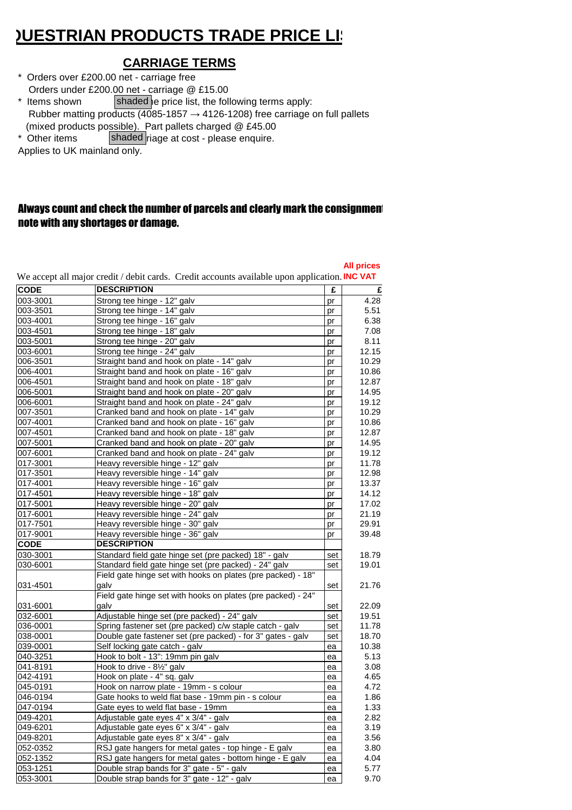## **¿UESTRIAN PRODUCTS TRADE PRICE LIST**

## **CARRIAGE TERMS**

- \* Orders over £200.00 net carriage free Orders under £200.00 net - carriage @ £15.00 \* Items shown shaded e price list, the following terms apply:
- Rubber matting products (4085-1857  $\rightarrow$  4126-1208) free carriage on full pallets (mixed products possible). Part pallets charged @ £45.00
- \* Other items  $\left| \text{shaded} \right|$  riage at cost please enquire.

Applies to UK mainland only.

## Always count and check the number of parcels and clearly mark the consignment note with any shortages or damage.

|             | We accept all major credit / debit cards. Credit accounts available upon application. INC VAT |     | <b>All prices</b> |
|-------------|-----------------------------------------------------------------------------------------------|-----|-------------------|
| <b>CODE</b> | <b>DESCRIPTION</b>                                                                            | £   | £                 |
| 003-3001    | Strong tee hinge - 12" galv                                                                   | pr  | 4.28              |
| 003-3501    | Strong tee hinge - 14" galv                                                                   | pr  | 5.51              |
| 003-4001    | Strong tee hinge - 16" galv                                                                   | pr  | 6.38              |
| 003-4501    | Strong tee hinge - 18" galv                                                                   | pr  | 7.08              |
| 003-5001    | Strong tee hinge - 20" galv                                                                   | pr  | 8.11              |
| 003-6001    | Strong tee hinge - 24" galv                                                                   | pr  | 12.15             |
| 006-3501    | Straight band and hook on plate - 14" galv                                                    | pr  | 10.29             |
| 006-4001    | Straight band and hook on plate - 16" galv                                                    | pr  | 10.86             |
| 006-4501    | Straight band and hook on plate - 18" galv                                                    | pr  | 12.87             |
| 006-5001    | Straight band and hook on plate - 20" galv                                                    | pr  | 14.95             |
| 006-6001    | Straight band and hook on plate - 24" galv                                                    | pr  | 19.12             |
| 007-3501    | Cranked band and hook on plate - 14" galv                                                     | pr  | 10.29             |
| 007-4001    | Cranked band and hook on plate - 16" galv                                                     | pr  | 10.86             |
| 007-4501    | Cranked band and hook on plate - 18" galv                                                     | pr  | 12.87             |
| 007-5001    | Cranked band and hook on plate - 20" galv                                                     | pr  | 14.95             |
| 007-6001    | Cranked band and hook on plate - 24" galv                                                     | pr  | 19.12             |
| 017-3001    | Heavy reversible hinge - 12" galv                                                             | pr  | 11.78             |
| 017-3501    | Heavy reversible hinge - 14" galv                                                             | pr  | 12.98             |
| 017-4001    | Heavy reversible hinge - 16" galv                                                             | pr  | 13.37             |
| 017-4501    | Heavy reversible hinge - 18" galv                                                             | pr  | 14.12             |
| 017-5001    | Heavy reversible hinge - 20" galv                                                             | pr  | 17.02             |
| 017-6001    | Heavy reversible hinge - 24" galv                                                             | pr  | 21.19             |
| 017-7501    | Heavy reversible hinge - 30" galv                                                             | pr  | 29.91             |
| 017-9001    | Heavy reversible hinge - 36" galv                                                             | pr  | 39.48             |
| <b>CODE</b> | <b>DESCRIPTION</b>                                                                            |     |                   |
| 030-3001    | Standard field gate hinge set (pre packed) 18" - galv                                         | set | 18.79             |
| 030-6001    | Standard field gate hinge set (pre packed) - 24" galv                                         | set | 19.01             |
|             | Field gate hinge set with hooks on plates (pre packed) - 18"                                  |     |                   |
| 031-4501    | galv                                                                                          | set | 21.76             |
|             | Field gate hinge set with hooks on plates (pre packed) - 24"                                  |     |                   |
| 031-6001    | qalv                                                                                          | set | 22.09             |
| 032-6001    | Adjustable hinge set (pre packed) - 24" galv                                                  | set | 19.51             |
| 036-0001    | Spring fastener set (pre packed) c/w staple catch - galv                                      | set | 11.78             |
| 038-0001    | Double gate fastener set (pre packed) - for 3" gates - galv                                   | set | 18.70             |
| 039-0001    | Self locking gate catch - galv                                                                | ea  | 10.38             |
| 040-3251    | Hook to bolt - 13": 19mm pin galv                                                             | ea  | 5.13              |
| 041-8191    | Hook to drive - 81/2" galv                                                                    | ea  | 3.08              |
| 042-4191    | Hook on plate - 4" sq. galv                                                                   | ea  | 4.65              |
| 045-0191    | Hook on narrow plate - 19mm - s colour                                                        | ea  | 4.72              |
| 046-0194    | Gate hooks to weld flat base - 19mm pin - s colour                                            | ea  | 1.86              |
| 047-0194    | Gate eyes to weld flat base - 19mm                                                            | ea  | 1.33              |
| 049-4201    | Adjustable gate eyes 4" x 3/4" - galv                                                         | ea  | 2.82              |
| 049-6201    | Adjustable gate eyes 6" x 3/4" - galv                                                         | ea  | 3.19              |
| 049-8201    | Adjustable gate eyes 8" x 3/4" - galv                                                         | ea  | 3.56              |
| 052-0352    | RSJ gate hangers for metal gates - top hinge - E galv                                         | ea  | 3.80              |
| 052-1352    | RSJ gate hangers for metal gates - bottom hinge - E galv                                      | ea  | 4.04              |
| 053-1251    | Double strap bands for 3" gate - 5" - galv                                                    | ea  | 5.77              |
| 053-3001    | Double strap bands for 3" gate - 12" - galv                                                   | ea  | 9.70              |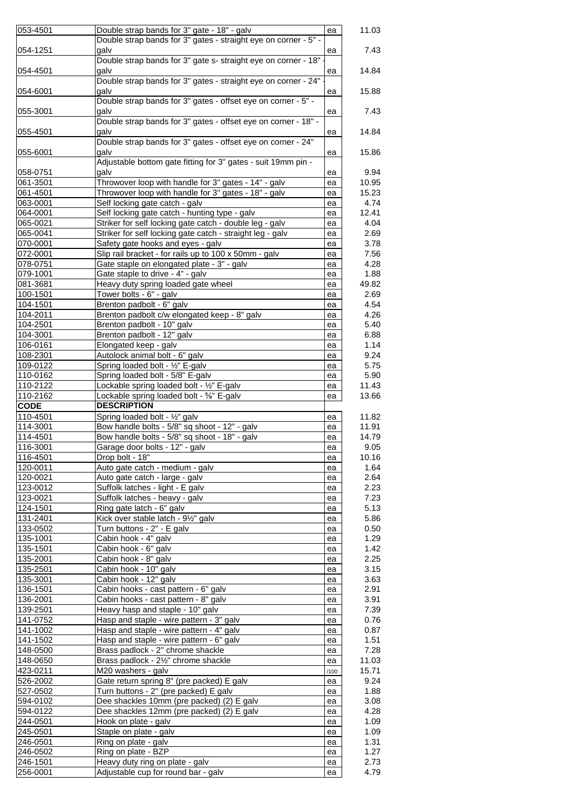| 053-4501<br>11.03<br>ea<br>Double strap bands for 3" gates - straight eye on corner - 5" -<br>054-1251<br>galv<br>7.43<br>ea<br>Double strap bands for 3" gate s- straight eye on corner - 18"<br>qalv<br>14.84<br>054-4501<br>ea<br>Double strap bands for 3" gates - straight eye on corner - 24"<br>054-6001<br>galv<br>15.88<br>ea<br>Double strap bands for 3" gates - offset eye on corner - 5" -<br>7.43<br>055-3001<br>qalv<br>ea<br>Double strap bands for 3" gates - offset eye on corner - 18" -<br>aalv<br>14.84<br>055-4501<br>ea<br>Double strap bands for 3" gates - offset eye on corner - 24"<br>qalv<br>15.86<br>055-6001<br>ea<br>Adjustable bottom gate fitting for 3" gates - suit 19mm pin -<br>058-0751<br>galv<br>9.94<br>ea<br>Throwover loop with handle for 3" gates - 14" - galv<br>061-3501<br>10.95<br>ea<br>Throwover loop with handle for 3" gates - 18" - galv<br>061-4501<br>15.23<br>ea<br>Self locking gate catch - galv<br>4.74<br>063-0001<br>ea<br>Self locking gate catch - hunting type - galv<br>064-0001<br>12.41<br>ea<br>065-0021<br>Striker for self locking gate catch - double leg - galv<br>4.04<br>ea<br>065-0041<br>Striker for self locking gate catch - straight leg - galv<br>2.69<br>ea<br>Safety gate hooks and eyes - galv<br>3.78<br>070-0001<br>ea<br>Slip rail bracket - for rails up to 100 x 50mm - galv<br>072-0001<br>7.56<br>ea<br>078-0751<br>Gate staple on elongated plate - 3" - galv<br>4.28<br>ea<br>Gate staple to drive - 4" - galv<br>079-1001<br>1.88<br>ea<br>Heavy duty spring loaded gate wheel<br>081-3681<br>49.82<br>ea<br>100-1501<br>Tower bolts - 6" - galv<br>2.69<br>ea<br>104-1501<br>Brenton padbolt - 6" galv<br>4.54<br>ea<br>104-2011<br>Brenton padbolt c/w elongated keep - 8" galv<br>4.26<br>ea<br>Brenton padbolt - 10" galv<br>104-2501<br>5.40<br>ea<br>Brenton padbolt - 12" galv<br>6.88<br>104-3001<br>ea<br>106-0161<br>Elongated keep - galv<br>1.14<br>ea<br>Autolock animal bolt - 6" galv<br>108-2301<br>9.24<br>ea<br>Spring loaded bolt - 1/2" E-galv<br>109-0122<br>5.75<br>ea<br>Spring loaded bolt - 5/8" E-galv<br>5.90<br>110-0162<br>ea<br>110-2122<br>Lockable spring loaded bolt - 1/2" E-galv<br>11.43<br>ea<br>110-2162<br>Lockable spring loaded bolt - 5%" E-galv<br>13.66<br>ea<br><b>DESCRIPTION</b><br><b>CODE</b><br>110-4501<br>Spring loaded bolt - 1/2" galv<br>11.82<br>ea<br>Bow handle bolts - 5/8" sq shoot - 12" - galv<br>114-3001<br>11.91<br>ea<br>Bow handle bolts - 5/8" sq shoot - 18" - galv<br>114-4501<br>14.79<br>ea<br>116-3001<br>Garage door bolts - 12" - galv<br>9.05<br>ea<br>116-4501<br>Drop bolt - 18"<br>10.16<br>ea<br>1.64<br>Auto gate catch - medium - galv<br>ea<br>2.64<br>120-0021<br>Auto gate catch - large - galv<br>ea<br>123-0012<br>Suffolk latches - light - E galv<br>2.23<br>ea<br>123-0021<br>Suffolk latches - heavy - galv<br>7.23<br>ea<br>124-1501<br>Ring gate latch - 6" galv<br>5.13<br>ea<br>5.86<br>131-2401<br>Kick over stable latch - 91/2" galv<br>ea<br>Turn buttons - 2" - E galv<br>133-0502<br>0.50<br>ea<br>Cabin hook - 4" galv<br>135-1001<br>1.29<br>ea<br>Cabin hook - 6" galv<br>1.42<br>135-1501<br>ea<br>2.25<br>Cabin hook - 8" galv<br>135-2001<br>ea<br>Cabin hook - 10" galv<br>135-2501<br>3.15<br>ea<br>135-3001<br>Cabin hook - 12" galv<br>3.63<br>ea<br>136-1501<br>Cabin hooks - cast pattern - 6" galv<br>2.91<br>ea<br>Cabin hooks - cast pattern - 8" galv<br>3.91<br>136-2001<br>ea<br>7.39<br>139-2501<br>Heavy hasp and staple - 10" galv<br>ea<br>Hasp and staple - wire pattern - 3" galv<br>141-0752<br>0.76<br>ea<br>141-1002<br>Hasp and staple - wire pattern - 4" galv<br>0.87<br>ea<br>Hasp and staple - wire pattern - 6" galv<br>141-1502<br>1.51<br>ea<br>Brass padlock - 2" chrome shackle<br>7.28<br>148-0500<br>ea<br>Brass padlock - 21/2" chrome shackle<br>148-0650<br>11.03<br>ea<br>M20 washers - galv<br>15.71<br>423-0211<br>/100<br>9.24<br>526-2002<br>Gate return spring 8" (pre packed) E galv<br>ea<br>527-0502<br>Turn buttons - 2" (pre packed) E galv<br>1.88<br>ea<br>Dee shackles 10mm (pre packed) (2) E galv<br>3.08<br>594-0102<br>ea<br>594-0122<br>Dee shackles 12mm (pre packed) (2) E galv<br>4.28<br>ea<br>244-0501<br>Hook on plate - galv<br>1.09<br>ea<br>245-0501<br>Staple on plate - galv<br>1.09<br>ea<br>Ring on plate - galv<br>1.31<br>ea<br>Ring on plate - BZP<br>246-0502<br>1.27<br>ea<br>246-1501<br>Heavy duty ring on plate - galv<br>2.73<br>ea<br>Adjustable cup for round bar - galv<br>256-0001<br>4.79<br>ea |          |                                             |  |
|---------------------------------------------------------------------------------------------------------------------------------------------------------------------------------------------------------------------------------------------------------------------------------------------------------------------------------------------------------------------------------------------------------------------------------------------------------------------------------------------------------------------------------------------------------------------------------------------------------------------------------------------------------------------------------------------------------------------------------------------------------------------------------------------------------------------------------------------------------------------------------------------------------------------------------------------------------------------------------------------------------------------------------------------------------------------------------------------------------------------------------------------------------------------------------------------------------------------------------------------------------------------------------------------------------------------------------------------------------------------------------------------------------------------------------------------------------------------------------------------------------------------------------------------------------------------------------------------------------------------------------------------------------------------------------------------------------------------------------------------------------------------------------------------------------------------------------------------------------------------------------------------------------------------------------------------------------------------------------------------------------------------------------------------------------------------------------------------------------------------------------------------------------------------------------------------------------------------------------------------------------------------------------------------------------------------------------------------------------------------------------------------------------------------------------------------------------------------------------------------------------------------------------------------------------------------------------------------------------------------------------------------------------------------------------------------------------------------------------------------------------------------------------------------------------------------------------------------------------------------------------------------------------------------------------------------------------------------------------------------------------------------------------------------------------------------------------------------------------------------------------------------------------------------------------------------------------------------------------------------------------------------------------------------------------------------------------------------------------------------------------------------------------------------------------------------------------------------------------------------------------------------------------------------------------------------------------------------------------------------------------------------------------------------------------------------------------------------------------------------------------------------------------------------------------------------------------------------------------------------------------------------------------------------------------------------------------------------------------------------------------------------------------------------------------------------------------------------------------------------------------------------------------------------------------------------------------------------------------------------------------------------------------------------------------------------------------------------------------------------------------------------------------------------------------------------------------------------------------------------------------------------------------------------------------------------------------------------|----------|---------------------------------------------|--|
|                                                                                                                                                                                                                                                                                                                                                                                                                                                                                                                                                                                                                                                                                                                                                                                                                                                                                                                                                                                                                                                                                                                                                                                                                                                                                                                                                                                                                                                                                                                                                                                                                                                                                                                                                                                                                                                                                                                                                                                                                                                                                                                                                                                                                                                                                                                                                                                                                                                                                                                                                                                                                                                                                                                                                                                                                                                                                                                                                                                                                                                                                                                                                                                                                                                                                                                                                                                                                                                                                                                                                                                                                                                                                                                                                                                                                                                                                                                                                                                                                                                                                                                                                                                                                                                                                                                                                                                                                                                                                                                                                                                             |          | Double strap bands for 3" gate - 18" - galv |  |
|                                                                                                                                                                                                                                                                                                                                                                                                                                                                                                                                                                                                                                                                                                                                                                                                                                                                                                                                                                                                                                                                                                                                                                                                                                                                                                                                                                                                                                                                                                                                                                                                                                                                                                                                                                                                                                                                                                                                                                                                                                                                                                                                                                                                                                                                                                                                                                                                                                                                                                                                                                                                                                                                                                                                                                                                                                                                                                                                                                                                                                                                                                                                                                                                                                                                                                                                                                                                                                                                                                                                                                                                                                                                                                                                                                                                                                                                                                                                                                                                                                                                                                                                                                                                                                                                                                                                                                                                                                                                                                                                                                                             |          |                                             |  |
|                                                                                                                                                                                                                                                                                                                                                                                                                                                                                                                                                                                                                                                                                                                                                                                                                                                                                                                                                                                                                                                                                                                                                                                                                                                                                                                                                                                                                                                                                                                                                                                                                                                                                                                                                                                                                                                                                                                                                                                                                                                                                                                                                                                                                                                                                                                                                                                                                                                                                                                                                                                                                                                                                                                                                                                                                                                                                                                                                                                                                                                                                                                                                                                                                                                                                                                                                                                                                                                                                                                                                                                                                                                                                                                                                                                                                                                                                                                                                                                                                                                                                                                                                                                                                                                                                                                                                                                                                                                                                                                                                                                             |          |                                             |  |
|                                                                                                                                                                                                                                                                                                                                                                                                                                                                                                                                                                                                                                                                                                                                                                                                                                                                                                                                                                                                                                                                                                                                                                                                                                                                                                                                                                                                                                                                                                                                                                                                                                                                                                                                                                                                                                                                                                                                                                                                                                                                                                                                                                                                                                                                                                                                                                                                                                                                                                                                                                                                                                                                                                                                                                                                                                                                                                                                                                                                                                                                                                                                                                                                                                                                                                                                                                                                                                                                                                                                                                                                                                                                                                                                                                                                                                                                                                                                                                                                                                                                                                                                                                                                                                                                                                                                                                                                                                                                                                                                                                                             |          |                                             |  |
|                                                                                                                                                                                                                                                                                                                                                                                                                                                                                                                                                                                                                                                                                                                                                                                                                                                                                                                                                                                                                                                                                                                                                                                                                                                                                                                                                                                                                                                                                                                                                                                                                                                                                                                                                                                                                                                                                                                                                                                                                                                                                                                                                                                                                                                                                                                                                                                                                                                                                                                                                                                                                                                                                                                                                                                                                                                                                                                                                                                                                                                                                                                                                                                                                                                                                                                                                                                                                                                                                                                                                                                                                                                                                                                                                                                                                                                                                                                                                                                                                                                                                                                                                                                                                                                                                                                                                                                                                                                                                                                                                                                             |          |                                             |  |
|                                                                                                                                                                                                                                                                                                                                                                                                                                                                                                                                                                                                                                                                                                                                                                                                                                                                                                                                                                                                                                                                                                                                                                                                                                                                                                                                                                                                                                                                                                                                                                                                                                                                                                                                                                                                                                                                                                                                                                                                                                                                                                                                                                                                                                                                                                                                                                                                                                                                                                                                                                                                                                                                                                                                                                                                                                                                                                                                                                                                                                                                                                                                                                                                                                                                                                                                                                                                                                                                                                                                                                                                                                                                                                                                                                                                                                                                                                                                                                                                                                                                                                                                                                                                                                                                                                                                                                                                                                                                                                                                                                                             |          |                                             |  |
|                                                                                                                                                                                                                                                                                                                                                                                                                                                                                                                                                                                                                                                                                                                                                                                                                                                                                                                                                                                                                                                                                                                                                                                                                                                                                                                                                                                                                                                                                                                                                                                                                                                                                                                                                                                                                                                                                                                                                                                                                                                                                                                                                                                                                                                                                                                                                                                                                                                                                                                                                                                                                                                                                                                                                                                                                                                                                                                                                                                                                                                                                                                                                                                                                                                                                                                                                                                                                                                                                                                                                                                                                                                                                                                                                                                                                                                                                                                                                                                                                                                                                                                                                                                                                                                                                                                                                                                                                                                                                                                                                                                             |          |                                             |  |
|                                                                                                                                                                                                                                                                                                                                                                                                                                                                                                                                                                                                                                                                                                                                                                                                                                                                                                                                                                                                                                                                                                                                                                                                                                                                                                                                                                                                                                                                                                                                                                                                                                                                                                                                                                                                                                                                                                                                                                                                                                                                                                                                                                                                                                                                                                                                                                                                                                                                                                                                                                                                                                                                                                                                                                                                                                                                                                                                                                                                                                                                                                                                                                                                                                                                                                                                                                                                                                                                                                                                                                                                                                                                                                                                                                                                                                                                                                                                                                                                                                                                                                                                                                                                                                                                                                                                                                                                                                                                                                                                                                                             |          |                                             |  |
|                                                                                                                                                                                                                                                                                                                                                                                                                                                                                                                                                                                                                                                                                                                                                                                                                                                                                                                                                                                                                                                                                                                                                                                                                                                                                                                                                                                                                                                                                                                                                                                                                                                                                                                                                                                                                                                                                                                                                                                                                                                                                                                                                                                                                                                                                                                                                                                                                                                                                                                                                                                                                                                                                                                                                                                                                                                                                                                                                                                                                                                                                                                                                                                                                                                                                                                                                                                                                                                                                                                                                                                                                                                                                                                                                                                                                                                                                                                                                                                                                                                                                                                                                                                                                                                                                                                                                                                                                                                                                                                                                                                             |          |                                             |  |
|                                                                                                                                                                                                                                                                                                                                                                                                                                                                                                                                                                                                                                                                                                                                                                                                                                                                                                                                                                                                                                                                                                                                                                                                                                                                                                                                                                                                                                                                                                                                                                                                                                                                                                                                                                                                                                                                                                                                                                                                                                                                                                                                                                                                                                                                                                                                                                                                                                                                                                                                                                                                                                                                                                                                                                                                                                                                                                                                                                                                                                                                                                                                                                                                                                                                                                                                                                                                                                                                                                                                                                                                                                                                                                                                                                                                                                                                                                                                                                                                                                                                                                                                                                                                                                                                                                                                                                                                                                                                                                                                                                                             |          |                                             |  |
|                                                                                                                                                                                                                                                                                                                                                                                                                                                                                                                                                                                                                                                                                                                                                                                                                                                                                                                                                                                                                                                                                                                                                                                                                                                                                                                                                                                                                                                                                                                                                                                                                                                                                                                                                                                                                                                                                                                                                                                                                                                                                                                                                                                                                                                                                                                                                                                                                                                                                                                                                                                                                                                                                                                                                                                                                                                                                                                                                                                                                                                                                                                                                                                                                                                                                                                                                                                                                                                                                                                                                                                                                                                                                                                                                                                                                                                                                                                                                                                                                                                                                                                                                                                                                                                                                                                                                                                                                                                                                                                                                                                             |          |                                             |  |
|                                                                                                                                                                                                                                                                                                                                                                                                                                                                                                                                                                                                                                                                                                                                                                                                                                                                                                                                                                                                                                                                                                                                                                                                                                                                                                                                                                                                                                                                                                                                                                                                                                                                                                                                                                                                                                                                                                                                                                                                                                                                                                                                                                                                                                                                                                                                                                                                                                                                                                                                                                                                                                                                                                                                                                                                                                                                                                                                                                                                                                                                                                                                                                                                                                                                                                                                                                                                                                                                                                                                                                                                                                                                                                                                                                                                                                                                                                                                                                                                                                                                                                                                                                                                                                                                                                                                                                                                                                                                                                                                                                                             |          |                                             |  |
|                                                                                                                                                                                                                                                                                                                                                                                                                                                                                                                                                                                                                                                                                                                                                                                                                                                                                                                                                                                                                                                                                                                                                                                                                                                                                                                                                                                                                                                                                                                                                                                                                                                                                                                                                                                                                                                                                                                                                                                                                                                                                                                                                                                                                                                                                                                                                                                                                                                                                                                                                                                                                                                                                                                                                                                                                                                                                                                                                                                                                                                                                                                                                                                                                                                                                                                                                                                                                                                                                                                                                                                                                                                                                                                                                                                                                                                                                                                                                                                                                                                                                                                                                                                                                                                                                                                                                                                                                                                                                                                                                                                             |          |                                             |  |
|                                                                                                                                                                                                                                                                                                                                                                                                                                                                                                                                                                                                                                                                                                                                                                                                                                                                                                                                                                                                                                                                                                                                                                                                                                                                                                                                                                                                                                                                                                                                                                                                                                                                                                                                                                                                                                                                                                                                                                                                                                                                                                                                                                                                                                                                                                                                                                                                                                                                                                                                                                                                                                                                                                                                                                                                                                                                                                                                                                                                                                                                                                                                                                                                                                                                                                                                                                                                                                                                                                                                                                                                                                                                                                                                                                                                                                                                                                                                                                                                                                                                                                                                                                                                                                                                                                                                                                                                                                                                                                                                                                                             |          |                                             |  |
|                                                                                                                                                                                                                                                                                                                                                                                                                                                                                                                                                                                                                                                                                                                                                                                                                                                                                                                                                                                                                                                                                                                                                                                                                                                                                                                                                                                                                                                                                                                                                                                                                                                                                                                                                                                                                                                                                                                                                                                                                                                                                                                                                                                                                                                                                                                                                                                                                                                                                                                                                                                                                                                                                                                                                                                                                                                                                                                                                                                                                                                                                                                                                                                                                                                                                                                                                                                                                                                                                                                                                                                                                                                                                                                                                                                                                                                                                                                                                                                                                                                                                                                                                                                                                                                                                                                                                                                                                                                                                                                                                                                             |          |                                             |  |
|                                                                                                                                                                                                                                                                                                                                                                                                                                                                                                                                                                                                                                                                                                                                                                                                                                                                                                                                                                                                                                                                                                                                                                                                                                                                                                                                                                                                                                                                                                                                                                                                                                                                                                                                                                                                                                                                                                                                                                                                                                                                                                                                                                                                                                                                                                                                                                                                                                                                                                                                                                                                                                                                                                                                                                                                                                                                                                                                                                                                                                                                                                                                                                                                                                                                                                                                                                                                                                                                                                                                                                                                                                                                                                                                                                                                                                                                                                                                                                                                                                                                                                                                                                                                                                                                                                                                                                                                                                                                                                                                                                                             |          |                                             |  |
|                                                                                                                                                                                                                                                                                                                                                                                                                                                                                                                                                                                                                                                                                                                                                                                                                                                                                                                                                                                                                                                                                                                                                                                                                                                                                                                                                                                                                                                                                                                                                                                                                                                                                                                                                                                                                                                                                                                                                                                                                                                                                                                                                                                                                                                                                                                                                                                                                                                                                                                                                                                                                                                                                                                                                                                                                                                                                                                                                                                                                                                                                                                                                                                                                                                                                                                                                                                                                                                                                                                                                                                                                                                                                                                                                                                                                                                                                                                                                                                                                                                                                                                                                                                                                                                                                                                                                                                                                                                                                                                                                                                             |          |                                             |  |
|                                                                                                                                                                                                                                                                                                                                                                                                                                                                                                                                                                                                                                                                                                                                                                                                                                                                                                                                                                                                                                                                                                                                                                                                                                                                                                                                                                                                                                                                                                                                                                                                                                                                                                                                                                                                                                                                                                                                                                                                                                                                                                                                                                                                                                                                                                                                                                                                                                                                                                                                                                                                                                                                                                                                                                                                                                                                                                                                                                                                                                                                                                                                                                                                                                                                                                                                                                                                                                                                                                                                                                                                                                                                                                                                                                                                                                                                                                                                                                                                                                                                                                                                                                                                                                                                                                                                                                                                                                                                                                                                                                                             |          |                                             |  |
|                                                                                                                                                                                                                                                                                                                                                                                                                                                                                                                                                                                                                                                                                                                                                                                                                                                                                                                                                                                                                                                                                                                                                                                                                                                                                                                                                                                                                                                                                                                                                                                                                                                                                                                                                                                                                                                                                                                                                                                                                                                                                                                                                                                                                                                                                                                                                                                                                                                                                                                                                                                                                                                                                                                                                                                                                                                                                                                                                                                                                                                                                                                                                                                                                                                                                                                                                                                                                                                                                                                                                                                                                                                                                                                                                                                                                                                                                                                                                                                                                                                                                                                                                                                                                                                                                                                                                                                                                                                                                                                                                                                             |          |                                             |  |
|                                                                                                                                                                                                                                                                                                                                                                                                                                                                                                                                                                                                                                                                                                                                                                                                                                                                                                                                                                                                                                                                                                                                                                                                                                                                                                                                                                                                                                                                                                                                                                                                                                                                                                                                                                                                                                                                                                                                                                                                                                                                                                                                                                                                                                                                                                                                                                                                                                                                                                                                                                                                                                                                                                                                                                                                                                                                                                                                                                                                                                                                                                                                                                                                                                                                                                                                                                                                                                                                                                                                                                                                                                                                                                                                                                                                                                                                                                                                                                                                                                                                                                                                                                                                                                                                                                                                                                                                                                                                                                                                                                                             |          |                                             |  |
|                                                                                                                                                                                                                                                                                                                                                                                                                                                                                                                                                                                                                                                                                                                                                                                                                                                                                                                                                                                                                                                                                                                                                                                                                                                                                                                                                                                                                                                                                                                                                                                                                                                                                                                                                                                                                                                                                                                                                                                                                                                                                                                                                                                                                                                                                                                                                                                                                                                                                                                                                                                                                                                                                                                                                                                                                                                                                                                                                                                                                                                                                                                                                                                                                                                                                                                                                                                                                                                                                                                                                                                                                                                                                                                                                                                                                                                                                                                                                                                                                                                                                                                                                                                                                                                                                                                                                                                                                                                                                                                                                                                             |          |                                             |  |
|                                                                                                                                                                                                                                                                                                                                                                                                                                                                                                                                                                                                                                                                                                                                                                                                                                                                                                                                                                                                                                                                                                                                                                                                                                                                                                                                                                                                                                                                                                                                                                                                                                                                                                                                                                                                                                                                                                                                                                                                                                                                                                                                                                                                                                                                                                                                                                                                                                                                                                                                                                                                                                                                                                                                                                                                                                                                                                                                                                                                                                                                                                                                                                                                                                                                                                                                                                                                                                                                                                                                                                                                                                                                                                                                                                                                                                                                                                                                                                                                                                                                                                                                                                                                                                                                                                                                                                                                                                                                                                                                                                                             |          |                                             |  |
|                                                                                                                                                                                                                                                                                                                                                                                                                                                                                                                                                                                                                                                                                                                                                                                                                                                                                                                                                                                                                                                                                                                                                                                                                                                                                                                                                                                                                                                                                                                                                                                                                                                                                                                                                                                                                                                                                                                                                                                                                                                                                                                                                                                                                                                                                                                                                                                                                                                                                                                                                                                                                                                                                                                                                                                                                                                                                                                                                                                                                                                                                                                                                                                                                                                                                                                                                                                                                                                                                                                                                                                                                                                                                                                                                                                                                                                                                                                                                                                                                                                                                                                                                                                                                                                                                                                                                                                                                                                                                                                                                                                             |          |                                             |  |
|                                                                                                                                                                                                                                                                                                                                                                                                                                                                                                                                                                                                                                                                                                                                                                                                                                                                                                                                                                                                                                                                                                                                                                                                                                                                                                                                                                                                                                                                                                                                                                                                                                                                                                                                                                                                                                                                                                                                                                                                                                                                                                                                                                                                                                                                                                                                                                                                                                                                                                                                                                                                                                                                                                                                                                                                                                                                                                                                                                                                                                                                                                                                                                                                                                                                                                                                                                                                                                                                                                                                                                                                                                                                                                                                                                                                                                                                                                                                                                                                                                                                                                                                                                                                                                                                                                                                                                                                                                                                                                                                                                                             |          |                                             |  |
|                                                                                                                                                                                                                                                                                                                                                                                                                                                                                                                                                                                                                                                                                                                                                                                                                                                                                                                                                                                                                                                                                                                                                                                                                                                                                                                                                                                                                                                                                                                                                                                                                                                                                                                                                                                                                                                                                                                                                                                                                                                                                                                                                                                                                                                                                                                                                                                                                                                                                                                                                                                                                                                                                                                                                                                                                                                                                                                                                                                                                                                                                                                                                                                                                                                                                                                                                                                                                                                                                                                                                                                                                                                                                                                                                                                                                                                                                                                                                                                                                                                                                                                                                                                                                                                                                                                                                                                                                                                                                                                                                                                             |          |                                             |  |
|                                                                                                                                                                                                                                                                                                                                                                                                                                                                                                                                                                                                                                                                                                                                                                                                                                                                                                                                                                                                                                                                                                                                                                                                                                                                                                                                                                                                                                                                                                                                                                                                                                                                                                                                                                                                                                                                                                                                                                                                                                                                                                                                                                                                                                                                                                                                                                                                                                                                                                                                                                                                                                                                                                                                                                                                                                                                                                                                                                                                                                                                                                                                                                                                                                                                                                                                                                                                                                                                                                                                                                                                                                                                                                                                                                                                                                                                                                                                                                                                                                                                                                                                                                                                                                                                                                                                                                                                                                                                                                                                                                                             |          |                                             |  |
|                                                                                                                                                                                                                                                                                                                                                                                                                                                                                                                                                                                                                                                                                                                                                                                                                                                                                                                                                                                                                                                                                                                                                                                                                                                                                                                                                                                                                                                                                                                                                                                                                                                                                                                                                                                                                                                                                                                                                                                                                                                                                                                                                                                                                                                                                                                                                                                                                                                                                                                                                                                                                                                                                                                                                                                                                                                                                                                                                                                                                                                                                                                                                                                                                                                                                                                                                                                                                                                                                                                                                                                                                                                                                                                                                                                                                                                                                                                                                                                                                                                                                                                                                                                                                                                                                                                                                                                                                                                                                                                                                                                             |          |                                             |  |
|                                                                                                                                                                                                                                                                                                                                                                                                                                                                                                                                                                                                                                                                                                                                                                                                                                                                                                                                                                                                                                                                                                                                                                                                                                                                                                                                                                                                                                                                                                                                                                                                                                                                                                                                                                                                                                                                                                                                                                                                                                                                                                                                                                                                                                                                                                                                                                                                                                                                                                                                                                                                                                                                                                                                                                                                                                                                                                                                                                                                                                                                                                                                                                                                                                                                                                                                                                                                                                                                                                                                                                                                                                                                                                                                                                                                                                                                                                                                                                                                                                                                                                                                                                                                                                                                                                                                                                                                                                                                                                                                                                                             |          |                                             |  |
|                                                                                                                                                                                                                                                                                                                                                                                                                                                                                                                                                                                                                                                                                                                                                                                                                                                                                                                                                                                                                                                                                                                                                                                                                                                                                                                                                                                                                                                                                                                                                                                                                                                                                                                                                                                                                                                                                                                                                                                                                                                                                                                                                                                                                                                                                                                                                                                                                                                                                                                                                                                                                                                                                                                                                                                                                                                                                                                                                                                                                                                                                                                                                                                                                                                                                                                                                                                                                                                                                                                                                                                                                                                                                                                                                                                                                                                                                                                                                                                                                                                                                                                                                                                                                                                                                                                                                                                                                                                                                                                                                                                             |          |                                             |  |
|                                                                                                                                                                                                                                                                                                                                                                                                                                                                                                                                                                                                                                                                                                                                                                                                                                                                                                                                                                                                                                                                                                                                                                                                                                                                                                                                                                                                                                                                                                                                                                                                                                                                                                                                                                                                                                                                                                                                                                                                                                                                                                                                                                                                                                                                                                                                                                                                                                                                                                                                                                                                                                                                                                                                                                                                                                                                                                                                                                                                                                                                                                                                                                                                                                                                                                                                                                                                                                                                                                                                                                                                                                                                                                                                                                                                                                                                                                                                                                                                                                                                                                                                                                                                                                                                                                                                                                                                                                                                                                                                                                                             |          |                                             |  |
|                                                                                                                                                                                                                                                                                                                                                                                                                                                                                                                                                                                                                                                                                                                                                                                                                                                                                                                                                                                                                                                                                                                                                                                                                                                                                                                                                                                                                                                                                                                                                                                                                                                                                                                                                                                                                                                                                                                                                                                                                                                                                                                                                                                                                                                                                                                                                                                                                                                                                                                                                                                                                                                                                                                                                                                                                                                                                                                                                                                                                                                                                                                                                                                                                                                                                                                                                                                                                                                                                                                                                                                                                                                                                                                                                                                                                                                                                                                                                                                                                                                                                                                                                                                                                                                                                                                                                                                                                                                                                                                                                                                             |          |                                             |  |
|                                                                                                                                                                                                                                                                                                                                                                                                                                                                                                                                                                                                                                                                                                                                                                                                                                                                                                                                                                                                                                                                                                                                                                                                                                                                                                                                                                                                                                                                                                                                                                                                                                                                                                                                                                                                                                                                                                                                                                                                                                                                                                                                                                                                                                                                                                                                                                                                                                                                                                                                                                                                                                                                                                                                                                                                                                                                                                                                                                                                                                                                                                                                                                                                                                                                                                                                                                                                                                                                                                                                                                                                                                                                                                                                                                                                                                                                                                                                                                                                                                                                                                                                                                                                                                                                                                                                                                                                                                                                                                                                                                                             |          |                                             |  |
|                                                                                                                                                                                                                                                                                                                                                                                                                                                                                                                                                                                                                                                                                                                                                                                                                                                                                                                                                                                                                                                                                                                                                                                                                                                                                                                                                                                                                                                                                                                                                                                                                                                                                                                                                                                                                                                                                                                                                                                                                                                                                                                                                                                                                                                                                                                                                                                                                                                                                                                                                                                                                                                                                                                                                                                                                                                                                                                                                                                                                                                                                                                                                                                                                                                                                                                                                                                                                                                                                                                                                                                                                                                                                                                                                                                                                                                                                                                                                                                                                                                                                                                                                                                                                                                                                                                                                                                                                                                                                                                                                                                             |          |                                             |  |
|                                                                                                                                                                                                                                                                                                                                                                                                                                                                                                                                                                                                                                                                                                                                                                                                                                                                                                                                                                                                                                                                                                                                                                                                                                                                                                                                                                                                                                                                                                                                                                                                                                                                                                                                                                                                                                                                                                                                                                                                                                                                                                                                                                                                                                                                                                                                                                                                                                                                                                                                                                                                                                                                                                                                                                                                                                                                                                                                                                                                                                                                                                                                                                                                                                                                                                                                                                                                                                                                                                                                                                                                                                                                                                                                                                                                                                                                                                                                                                                                                                                                                                                                                                                                                                                                                                                                                                                                                                                                                                                                                                                             |          |                                             |  |
|                                                                                                                                                                                                                                                                                                                                                                                                                                                                                                                                                                                                                                                                                                                                                                                                                                                                                                                                                                                                                                                                                                                                                                                                                                                                                                                                                                                                                                                                                                                                                                                                                                                                                                                                                                                                                                                                                                                                                                                                                                                                                                                                                                                                                                                                                                                                                                                                                                                                                                                                                                                                                                                                                                                                                                                                                                                                                                                                                                                                                                                                                                                                                                                                                                                                                                                                                                                                                                                                                                                                                                                                                                                                                                                                                                                                                                                                                                                                                                                                                                                                                                                                                                                                                                                                                                                                                                                                                                                                                                                                                                                             |          |                                             |  |
|                                                                                                                                                                                                                                                                                                                                                                                                                                                                                                                                                                                                                                                                                                                                                                                                                                                                                                                                                                                                                                                                                                                                                                                                                                                                                                                                                                                                                                                                                                                                                                                                                                                                                                                                                                                                                                                                                                                                                                                                                                                                                                                                                                                                                                                                                                                                                                                                                                                                                                                                                                                                                                                                                                                                                                                                                                                                                                                                                                                                                                                                                                                                                                                                                                                                                                                                                                                                                                                                                                                                                                                                                                                                                                                                                                                                                                                                                                                                                                                                                                                                                                                                                                                                                                                                                                                                                                                                                                                                                                                                                                                             |          |                                             |  |
|                                                                                                                                                                                                                                                                                                                                                                                                                                                                                                                                                                                                                                                                                                                                                                                                                                                                                                                                                                                                                                                                                                                                                                                                                                                                                                                                                                                                                                                                                                                                                                                                                                                                                                                                                                                                                                                                                                                                                                                                                                                                                                                                                                                                                                                                                                                                                                                                                                                                                                                                                                                                                                                                                                                                                                                                                                                                                                                                                                                                                                                                                                                                                                                                                                                                                                                                                                                                                                                                                                                                                                                                                                                                                                                                                                                                                                                                                                                                                                                                                                                                                                                                                                                                                                                                                                                                                                                                                                                                                                                                                                                             |          |                                             |  |
|                                                                                                                                                                                                                                                                                                                                                                                                                                                                                                                                                                                                                                                                                                                                                                                                                                                                                                                                                                                                                                                                                                                                                                                                                                                                                                                                                                                                                                                                                                                                                                                                                                                                                                                                                                                                                                                                                                                                                                                                                                                                                                                                                                                                                                                                                                                                                                                                                                                                                                                                                                                                                                                                                                                                                                                                                                                                                                                                                                                                                                                                                                                                                                                                                                                                                                                                                                                                                                                                                                                                                                                                                                                                                                                                                                                                                                                                                                                                                                                                                                                                                                                                                                                                                                                                                                                                                                                                                                                                                                                                                                                             |          |                                             |  |
|                                                                                                                                                                                                                                                                                                                                                                                                                                                                                                                                                                                                                                                                                                                                                                                                                                                                                                                                                                                                                                                                                                                                                                                                                                                                                                                                                                                                                                                                                                                                                                                                                                                                                                                                                                                                                                                                                                                                                                                                                                                                                                                                                                                                                                                                                                                                                                                                                                                                                                                                                                                                                                                                                                                                                                                                                                                                                                                                                                                                                                                                                                                                                                                                                                                                                                                                                                                                                                                                                                                                                                                                                                                                                                                                                                                                                                                                                                                                                                                                                                                                                                                                                                                                                                                                                                                                                                                                                                                                                                                                                                                             |          |                                             |  |
|                                                                                                                                                                                                                                                                                                                                                                                                                                                                                                                                                                                                                                                                                                                                                                                                                                                                                                                                                                                                                                                                                                                                                                                                                                                                                                                                                                                                                                                                                                                                                                                                                                                                                                                                                                                                                                                                                                                                                                                                                                                                                                                                                                                                                                                                                                                                                                                                                                                                                                                                                                                                                                                                                                                                                                                                                                                                                                                                                                                                                                                                                                                                                                                                                                                                                                                                                                                                                                                                                                                                                                                                                                                                                                                                                                                                                                                                                                                                                                                                                                                                                                                                                                                                                                                                                                                                                                                                                                                                                                                                                                                             |          |                                             |  |
|                                                                                                                                                                                                                                                                                                                                                                                                                                                                                                                                                                                                                                                                                                                                                                                                                                                                                                                                                                                                                                                                                                                                                                                                                                                                                                                                                                                                                                                                                                                                                                                                                                                                                                                                                                                                                                                                                                                                                                                                                                                                                                                                                                                                                                                                                                                                                                                                                                                                                                                                                                                                                                                                                                                                                                                                                                                                                                                                                                                                                                                                                                                                                                                                                                                                                                                                                                                                                                                                                                                                                                                                                                                                                                                                                                                                                                                                                                                                                                                                                                                                                                                                                                                                                                                                                                                                                                                                                                                                                                                                                                                             |          |                                             |  |
|                                                                                                                                                                                                                                                                                                                                                                                                                                                                                                                                                                                                                                                                                                                                                                                                                                                                                                                                                                                                                                                                                                                                                                                                                                                                                                                                                                                                                                                                                                                                                                                                                                                                                                                                                                                                                                                                                                                                                                                                                                                                                                                                                                                                                                                                                                                                                                                                                                                                                                                                                                                                                                                                                                                                                                                                                                                                                                                                                                                                                                                                                                                                                                                                                                                                                                                                                                                                                                                                                                                                                                                                                                                                                                                                                                                                                                                                                                                                                                                                                                                                                                                                                                                                                                                                                                                                                                                                                                                                                                                                                                                             |          |                                             |  |
|                                                                                                                                                                                                                                                                                                                                                                                                                                                                                                                                                                                                                                                                                                                                                                                                                                                                                                                                                                                                                                                                                                                                                                                                                                                                                                                                                                                                                                                                                                                                                                                                                                                                                                                                                                                                                                                                                                                                                                                                                                                                                                                                                                                                                                                                                                                                                                                                                                                                                                                                                                                                                                                                                                                                                                                                                                                                                                                                                                                                                                                                                                                                                                                                                                                                                                                                                                                                                                                                                                                                                                                                                                                                                                                                                                                                                                                                                                                                                                                                                                                                                                                                                                                                                                                                                                                                                                                                                                                                                                                                                                                             |          |                                             |  |
|                                                                                                                                                                                                                                                                                                                                                                                                                                                                                                                                                                                                                                                                                                                                                                                                                                                                                                                                                                                                                                                                                                                                                                                                                                                                                                                                                                                                                                                                                                                                                                                                                                                                                                                                                                                                                                                                                                                                                                                                                                                                                                                                                                                                                                                                                                                                                                                                                                                                                                                                                                                                                                                                                                                                                                                                                                                                                                                                                                                                                                                                                                                                                                                                                                                                                                                                                                                                                                                                                                                                                                                                                                                                                                                                                                                                                                                                                                                                                                                                                                                                                                                                                                                                                                                                                                                                                                                                                                                                                                                                                                                             |          |                                             |  |
|                                                                                                                                                                                                                                                                                                                                                                                                                                                                                                                                                                                                                                                                                                                                                                                                                                                                                                                                                                                                                                                                                                                                                                                                                                                                                                                                                                                                                                                                                                                                                                                                                                                                                                                                                                                                                                                                                                                                                                                                                                                                                                                                                                                                                                                                                                                                                                                                                                                                                                                                                                                                                                                                                                                                                                                                                                                                                                                                                                                                                                                                                                                                                                                                                                                                                                                                                                                                                                                                                                                                                                                                                                                                                                                                                                                                                                                                                                                                                                                                                                                                                                                                                                                                                                                                                                                                                                                                                                                                                                                                                                                             |          |                                             |  |
|                                                                                                                                                                                                                                                                                                                                                                                                                                                                                                                                                                                                                                                                                                                                                                                                                                                                                                                                                                                                                                                                                                                                                                                                                                                                                                                                                                                                                                                                                                                                                                                                                                                                                                                                                                                                                                                                                                                                                                                                                                                                                                                                                                                                                                                                                                                                                                                                                                                                                                                                                                                                                                                                                                                                                                                                                                                                                                                                                                                                                                                                                                                                                                                                                                                                                                                                                                                                                                                                                                                                                                                                                                                                                                                                                                                                                                                                                                                                                                                                                                                                                                                                                                                                                                                                                                                                                                                                                                                                                                                                                                                             |          |                                             |  |
|                                                                                                                                                                                                                                                                                                                                                                                                                                                                                                                                                                                                                                                                                                                                                                                                                                                                                                                                                                                                                                                                                                                                                                                                                                                                                                                                                                                                                                                                                                                                                                                                                                                                                                                                                                                                                                                                                                                                                                                                                                                                                                                                                                                                                                                                                                                                                                                                                                                                                                                                                                                                                                                                                                                                                                                                                                                                                                                                                                                                                                                                                                                                                                                                                                                                                                                                                                                                                                                                                                                                                                                                                                                                                                                                                                                                                                                                                                                                                                                                                                                                                                                                                                                                                                                                                                                                                                                                                                                                                                                                                                                             |          |                                             |  |
|                                                                                                                                                                                                                                                                                                                                                                                                                                                                                                                                                                                                                                                                                                                                                                                                                                                                                                                                                                                                                                                                                                                                                                                                                                                                                                                                                                                                                                                                                                                                                                                                                                                                                                                                                                                                                                                                                                                                                                                                                                                                                                                                                                                                                                                                                                                                                                                                                                                                                                                                                                                                                                                                                                                                                                                                                                                                                                                                                                                                                                                                                                                                                                                                                                                                                                                                                                                                                                                                                                                                                                                                                                                                                                                                                                                                                                                                                                                                                                                                                                                                                                                                                                                                                                                                                                                                                                                                                                                                                                                                                                                             |          |                                             |  |
|                                                                                                                                                                                                                                                                                                                                                                                                                                                                                                                                                                                                                                                                                                                                                                                                                                                                                                                                                                                                                                                                                                                                                                                                                                                                                                                                                                                                                                                                                                                                                                                                                                                                                                                                                                                                                                                                                                                                                                                                                                                                                                                                                                                                                                                                                                                                                                                                                                                                                                                                                                                                                                                                                                                                                                                                                                                                                                                                                                                                                                                                                                                                                                                                                                                                                                                                                                                                                                                                                                                                                                                                                                                                                                                                                                                                                                                                                                                                                                                                                                                                                                                                                                                                                                                                                                                                                                                                                                                                                                                                                                                             |          |                                             |  |
|                                                                                                                                                                                                                                                                                                                                                                                                                                                                                                                                                                                                                                                                                                                                                                                                                                                                                                                                                                                                                                                                                                                                                                                                                                                                                                                                                                                                                                                                                                                                                                                                                                                                                                                                                                                                                                                                                                                                                                                                                                                                                                                                                                                                                                                                                                                                                                                                                                                                                                                                                                                                                                                                                                                                                                                                                                                                                                                                                                                                                                                                                                                                                                                                                                                                                                                                                                                                                                                                                                                                                                                                                                                                                                                                                                                                                                                                                                                                                                                                                                                                                                                                                                                                                                                                                                                                                                                                                                                                                                                                                                                             |          |                                             |  |
|                                                                                                                                                                                                                                                                                                                                                                                                                                                                                                                                                                                                                                                                                                                                                                                                                                                                                                                                                                                                                                                                                                                                                                                                                                                                                                                                                                                                                                                                                                                                                                                                                                                                                                                                                                                                                                                                                                                                                                                                                                                                                                                                                                                                                                                                                                                                                                                                                                                                                                                                                                                                                                                                                                                                                                                                                                                                                                                                                                                                                                                                                                                                                                                                                                                                                                                                                                                                                                                                                                                                                                                                                                                                                                                                                                                                                                                                                                                                                                                                                                                                                                                                                                                                                                                                                                                                                                                                                                                                                                                                                                                             |          |                                             |  |
|                                                                                                                                                                                                                                                                                                                                                                                                                                                                                                                                                                                                                                                                                                                                                                                                                                                                                                                                                                                                                                                                                                                                                                                                                                                                                                                                                                                                                                                                                                                                                                                                                                                                                                                                                                                                                                                                                                                                                                                                                                                                                                                                                                                                                                                                                                                                                                                                                                                                                                                                                                                                                                                                                                                                                                                                                                                                                                                                                                                                                                                                                                                                                                                                                                                                                                                                                                                                                                                                                                                                                                                                                                                                                                                                                                                                                                                                                                                                                                                                                                                                                                                                                                                                                                                                                                                                                                                                                                                                                                                                                                                             |          |                                             |  |
|                                                                                                                                                                                                                                                                                                                                                                                                                                                                                                                                                                                                                                                                                                                                                                                                                                                                                                                                                                                                                                                                                                                                                                                                                                                                                                                                                                                                                                                                                                                                                                                                                                                                                                                                                                                                                                                                                                                                                                                                                                                                                                                                                                                                                                                                                                                                                                                                                                                                                                                                                                                                                                                                                                                                                                                                                                                                                                                                                                                                                                                                                                                                                                                                                                                                                                                                                                                                                                                                                                                                                                                                                                                                                                                                                                                                                                                                                                                                                                                                                                                                                                                                                                                                                                                                                                                                                                                                                                                                                                                                                                                             |          |                                             |  |
|                                                                                                                                                                                                                                                                                                                                                                                                                                                                                                                                                                                                                                                                                                                                                                                                                                                                                                                                                                                                                                                                                                                                                                                                                                                                                                                                                                                                                                                                                                                                                                                                                                                                                                                                                                                                                                                                                                                                                                                                                                                                                                                                                                                                                                                                                                                                                                                                                                                                                                                                                                                                                                                                                                                                                                                                                                                                                                                                                                                                                                                                                                                                                                                                                                                                                                                                                                                                                                                                                                                                                                                                                                                                                                                                                                                                                                                                                                                                                                                                                                                                                                                                                                                                                                                                                                                                                                                                                                                                                                                                                                                             | 120-0011 |                                             |  |
|                                                                                                                                                                                                                                                                                                                                                                                                                                                                                                                                                                                                                                                                                                                                                                                                                                                                                                                                                                                                                                                                                                                                                                                                                                                                                                                                                                                                                                                                                                                                                                                                                                                                                                                                                                                                                                                                                                                                                                                                                                                                                                                                                                                                                                                                                                                                                                                                                                                                                                                                                                                                                                                                                                                                                                                                                                                                                                                                                                                                                                                                                                                                                                                                                                                                                                                                                                                                                                                                                                                                                                                                                                                                                                                                                                                                                                                                                                                                                                                                                                                                                                                                                                                                                                                                                                                                                                                                                                                                                                                                                                                             |          |                                             |  |
|                                                                                                                                                                                                                                                                                                                                                                                                                                                                                                                                                                                                                                                                                                                                                                                                                                                                                                                                                                                                                                                                                                                                                                                                                                                                                                                                                                                                                                                                                                                                                                                                                                                                                                                                                                                                                                                                                                                                                                                                                                                                                                                                                                                                                                                                                                                                                                                                                                                                                                                                                                                                                                                                                                                                                                                                                                                                                                                                                                                                                                                                                                                                                                                                                                                                                                                                                                                                                                                                                                                                                                                                                                                                                                                                                                                                                                                                                                                                                                                                                                                                                                                                                                                                                                                                                                                                                                                                                                                                                                                                                                                             |          |                                             |  |
|                                                                                                                                                                                                                                                                                                                                                                                                                                                                                                                                                                                                                                                                                                                                                                                                                                                                                                                                                                                                                                                                                                                                                                                                                                                                                                                                                                                                                                                                                                                                                                                                                                                                                                                                                                                                                                                                                                                                                                                                                                                                                                                                                                                                                                                                                                                                                                                                                                                                                                                                                                                                                                                                                                                                                                                                                                                                                                                                                                                                                                                                                                                                                                                                                                                                                                                                                                                                                                                                                                                                                                                                                                                                                                                                                                                                                                                                                                                                                                                                                                                                                                                                                                                                                                                                                                                                                                                                                                                                                                                                                                                             |          |                                             |  |
|                                                                                                                                                                                                                                                                                                                                                                                                                                                                                                                                                                                                                                                                                                                                                                                                                                                                                                                                                                                                                                                                                                                                                                                                                                                                                                                                                                                                                                                                                                                                                                                                                                                                                                                                                                                                                                                                                                                                                                                                                                                                                                                                                                                                                                                                                                                                                                                                                                                                                                                                                                                                                                                                                                                                                                                                                                                                                                                                                                                                                                                                                                                                                                                                                                                                                                                                                                                                                                                                                                                                                                                                                                                                                                                                                                                                                                                                                                                                                                                                                                                                                                                                                                                                                                                                                                                                                                                                                                                                                                                                                                                             |          |                                             |  |
|                                                                                                                                                                                                                                                                                                                                                                                                                                                                                                                                                                                                                                                                                                                                                                                                                                                                                                                                                                                                                                                                                                                                                                                                                                                                                                                                                                                                                                                                                                                                                                                                                                                                                                                                                                                                                                                                                                                                                                                                                                                                                                                                                                                                                                                                                                                                                                                                                                                                                                                                                                                                                                                                                                                                                                                                                                                                                                                                                                                                                                                                                                                                                                                                                                                                                                                                                                                                                                                                                                                                                                                                                                                                                                                                                                                                                                                                                                                                                                                                                                                                                                                                                                                                                                                                                                                                                                                                                                                                                                                                                                                             |          |                                             |  |
|                                                                                                                                                                                                                                                                                                                                                                                                                                                                                                                                                                                                                                                                                                                                                                                                                                                                                                                                                                                                                                                                                                                                                                                                                                                                                                                                                                                                                                                                                                                                                                                                                                                                                                                                                                                                                                                                                                                                                                                                                                                                                                                                                                                                                                                                                                                                                                                                                                                                                                                                                                                                                                                                                                                                                                                                                                                                                                                                                                                                                                                                                                                                                                                                                                                                                                                                                                                                                                                                                                                                                                                                                                                                                                                                                                                                                                                                                                                                                                                                                                                                                                                                                                                                                                                                                                                                                                                                                                                                                                                                                                                             |          |                                             |  |
|                                                                                                                                                                                                                                                                                                                                                                                                                                                                                                                                                                                                                                                                                                                                                                                                                                                                                                                                                                                                                                                                                                                                                                                                                                                                                                                                                                                                                                                                                                                                                                                                                                                                                                                                                                                                                                                                                                                                                                                                                                                                                                                                                                                                                                                                                                                                                                                                                                                                                                                                                                                                                                                                                                                                                                                                                                                                                                                                                                                                                                                                                                                                                                                                                                                                                                                                                                                                                                                                                                                                                                                                                                                                                                                                                                                                                                                                                                                                                                                                                                                                                                                                                                                                                                                                                                                                                                                                                                                                                                                                                                                             |          |                                             |  |
|                                                                                                                                                                                                                                                                                                                                                                                                                                                                                                                                                                                                                                                                                                                                                                                                                                                                                                                                                                                                                                                                                                                                                                                                                                                                                                                                                                                                                                                                                                                                                                                                                                                                                                                                                                                                                                                                                                                                                                                                                                                                                                                                                                                                                                                                                                                                                                                                                                                                                                                                                                                                                                                                                                                                                                                                                                                                                                                                                                                                                                                                                                                                                                                                                                                                                                                                                                                                                                                                                                                                                                                                                                                                                                                                                                                                                                                                                                                                                                                                                                                                                                                                                                                                                                                                                                                                                                                                                                                                                                                                                                                             |          |                                             |  |
|                                                                                                                                                                                                                                                                                                                                                                                                                                                                                                                                                                                                                                                                                                                                                                                                                                                                                                                                                                                                                                                                                                                                                                                                                                                                                                                                                                                                                                                                                                                                                                                                                                                                                                                                                                                                                                                                                                                                                                                                                                                                                                                                                                                                                                                                                                                                                                                                                                                                                                                                                                                                                                                                                                                                                                                                                                                                                                                                                                                                                                                                                                                                                                                                                                                                                                                                                                                                                                                                                                                                                                                                                                                                                                                                                                                                                                                                                                                                                                                                                                                                                                                                                                                                                                                                                                                                                                                                                                                                                                                                                                                             |          |                                             |  |
|                                                                                                                                                                                                                                                                                                                                                                                                                                                                                                                                                                                                                                                                                                                                                                                                                                                                                                                                                                                                                                                                                                                                                                                                                                                                                                                                                                                                                                                                                                                                                                                                                                                                                                                                                                                                                                                                                                                                                                                                                                                                                                                                                                                                                                                                                                                                                                                                                                                                                                                                                                                                                                                                                                                                                                                                                                                                                                                                                                                                                                                                                                                                                                                                                                                                                                                                                                                                                                                                                                                                                                                                                                                                                                                                                                                                                                                                                                                                                                                                                                                                                                                                                                                                                                                                                                                                                                                                                                                                                                                                                                                             |          |                                             |  |
|                                                                                                                                                                                                                                                                                                                                                                                                                                                                                                                                                                                                                                                                                                                                                                                                                                                                                                                                                                                                                                                                                                                                                                                                                                                                                                                                                                                                                                                                                                                                                                                                                                                                                                                                                                                                                                                                                                                                                                                                                                                                                                                                                                                                                                                                                                                                                                                                                                                                                                                                                                                                                                                                                                                                                                                                                                                                                                                                                                                                                                                                                                                                                                                                                                                                                                                                                                                                                                                                                                                                                                                                                                                                                                                                                                                                                                                                                                                                                                                                                                                                                                                                                                                                                                                                                                                                                                                                                                                                                                                                                                                             |          |                                             |  |
|                                                                                                                                                                                                                                                                                                                                                                                                                                                                                                                                                                                                                                                                                                                                                                                                                                                                                                                                                                                                                                                                                                                                                                                                                                                                                                                                                                                                                                                                                                                                                                                                                                                                                                                                                                                                                                                                                                                                                                                                                                                                                                                                                                                                                                                                                                                                                                                                                                                                                                                                                                                                                                                                                                                                                                                                                                                                                                                                                                                                                                                                                                                                                                                                                                                                                                                                                                                                                                                                                                                                                                                                                                                                                                                                                                                                                                                                                                                                                                                                                                                                                                                                                                                                                                                                                                                                                                                                                                                                                                                                                                                             |          |                                             |  |
|                                                                                                                                                                                                                                                                                                                                                                                                                                                                                                                                                                                                                                                                                                                                                                                                                                                                                                                                                                                                                                                                                                                                                                                                                                                                                                                                                                                                                                                                                                                                                                                                                                                                                                                                                                                                                                                                                                                                                                                                                                                                                                                                                                                                                                                                                                                                                                                                                                                                                                                                                                                                                                                                                                                                                                                                                                                                                                                                                                                                                                                                                                                                                                                                                                                                                                                                                                                                                                                                                                                                                                                                                                                                                                                                                                                                                                                                                                                                                                                                                                                                                                                                                                                                                                                                                                                                                                                                                                                                                                                                                                                             |          |                                             |  |
|                                                                                                                                                                                                                                                                                                                                                                                                                                                                                                                                                                                                                                                                                                                                                                                                                                                                                                                                                                                                                                                                                                                                                                                                                                                                                                                                                                                                                                                                                                                                                                                                                                                                                                                                                                                                                                                                                                                                                                                                                                                                                                                                                                                                                                                                                                                                                                                                                                                                                                                                                                                                                                                                                                                                                                                                                                                                                                                                                                                                                                                                                                                                                                                                                                                                                                                                                                                                                                                                                                                                                                                                                                                                                                                                                                                                                                                                                                                                                                                                                                                                                                                                                                                                                                                                                                                                                                                                                                                                                                                                                                                             |          |                                             |  |
|                                                                                                                                                                                                                                                                                                                                                                                                                                                                                                                                                                                                                                                                                                                                                                                                                                                                                                                                                                                                                                                                                                                                                                                                                                                                                                                                                                                                                                                                                                                                                                                                                                                                                                                                                                                                                                                                                                                                                                                                                                                                                                                                                                                                                                                                                                                                                                                                                                                                                                                                                                                                                                                                                                                                                                                                                                                                                                                                                                                                                                                                                                                                                                                                                                                                                                                                                                                                                                                                                                                                                                                                                                                                                                                                                                                                                                                                                                                                                                                                                                                                                                                                                                                                                                                                                                                                                                                                                                                                                                                                                                                             |          |                                             |  |
|                                                                                                                                                                                                                                                                                                                                                                                                                                                                                                                                                                                                                                                                                                                                                                                                                                                                                                                                                                                                                                                                                                                                                                                                                                                                                                                                                                                                                                                                                                                                                                                                                                                                                                                                                                                                                                                                                                                                                                                                                                                                                                                                                                                                                                                                                                                                                                                                                                                                                                                                                                                                                                                                                                                                                                                                                                                                                                                                                                                                                                                                                                                                                                                                                                                                                                                                                                                                                                                                                                                                                                                                                                                                                                                                                                                                                                                                                                                                                                                                                                                                                                                                                                                                                                                                                                                                                                                                                                                                                                                                                                                             |          |                                             |  |
|                                                                                                                                                                                                                                                                                                                                                                                                                                                                                                                                                                                                                                                                                                                                                                                                                                                                                                                                                                                                                                                                                                                                                                                                                                                                                                                                                                                                                                                                                                                                                                                                                                                                                                                                                                                                                                                                                                                                                                                                                                                                                                                                                                                                                                                                                                                                                                                                                                                                                                                                                                                                                                                                                                                                                                                                                                                                                                                                                                                                                                                                                                                                                                                                                                                                                                                                                                                                                                                                                                                                                                                                                                                                                                                                                                                                                                                                                                                                                                                                                                                                                                                                                                                                                                                                                                                                                                                                                                                                                                                                                                                             |          |                                             |  |
|                                                                                                                                                                                                                                                                                                                                                                                                                                                                                                                                                                                                                                                                                                                                                                                                                                                                                                                                                                                                                                                                                                                                                                                                                                                                                                                                                                                                                                                                                                                                                                                                                                                                                                                                                                                                                                                                                                                                                                                                                                                                                                                                                                                                                                                                                                                                                                                                                                                                                                                                                                                                                                                                                                                                                                                                                                                                                                                                                                                                                                                                                                                                                                                                                                                                                                                                                                                                                                                                                                                                                                                                                                                                                                                                                                                                                                                                                                                                                                                                                                                                                                                                                                                                                                                                                                                                                                                                                                                                                                                                                                                             |          |                                             |  |
|                                                                                                                                                                                                                                                                                                                                                                                                                                                                                                                                                                                                                                                                                                                                                                                                                                                                                                                                                                                                                                                                                                                                                                                                                                                                                                                                                                                                                                                                                                                                                                                                                                                                                                                                                                                                                                                                                                                                                                                                                                                                                                                                                                                                                                                                                                                                                                                                                                                                                                                                                                                                                                                                                                                                                                                                                                                                                                                                                                                                                                                                                                                                                                                                                                                                                                                                                                                                                                                                                                                                                                                                                                                                                                                                                                                                                                                                                                                                                                                                                                                                                                                                                                                                                                                                                                                                                                                                                                                                                                                                                                                             |          |                                             |  |
|                                                                                                                                                                                                                                                                                                                                                                                                                                                                                                                                                                                                                                                                                                                                                                                                                                                                                                                                                                                                                                                                                                                                                                                                                                                                                                                                                                                                                                                                                                                                                                                                                                                                                                                                                                                                                                                                                                                                                                                                                                                                                                                                                                                                                                                                                                                                                                                                                                                                                                                                                                                                                                                                                                                                                                                                                                                                                                                                                                                                                                                                                                                                                                                                                                                                                                                                                                                                                                                                                                                                                                                                                                                                                                                                                                                                                                                                                                                                                                                                                                                                                                                                                                                                                                                                                                                                                                                                                                                                                                                                                                                             |          |                                             |  |
|                                                                                                                                                                                                                                                                                                                                                                                                                                                                                                                                                                                                                                                                                                                                                                                                                                                                                                                                                                                                                                                                                                                                                                                                                                                                                                                                                                                                                                                                                                                                                                                                                                                                                                                                                                                                                                                                                                                                                                                                                                                                                                                                                                                                                                                                                                                                                                                                                                                                                                                                                                                                                                                                                                                                                                                                                                                                                                                                                                                                                                                                                                                                                                                                                                                                                                                                                                                                                                                                                                                                                                                                                                                                                                                                                                                                                                                                                                                                                                                                                                                                                                                                                                                                                                                                                                                                                                                                                                                                                                                                                                                             |          |                                             |  |
|                                                                                                                                                                                                                                                                                                                                                                                                                                                                                                                                                                                                                                                                                                                                                                                                                                                                                                                                                                                                                                                                                                                                                                                                                                                                                                                                                                                                                                                                                                                                                                                                                                                                                                                                                                                                                                                                                                                                                                                                                                                                                                                                                                                                                                                                                                                                                                                                                                                                                                                                                                                                                                                                                                                                                                                                                                                                                                                                                                                                                                                                                                                                                                                                                                                                                                                                                                                                                                                                                                                                                                                                                                                                                                                                                                                                                                                                                                                                                                                                                                                                                                                                                                                                                                                                                                                                                                                                                                                                                                                                                                                             |          |                                             |  |
|                                                                                                                                                                                                                                                                                                                                                                                                                                                                                                                                                                                                                                                                                                                                                                                                                                                                                                                                                                                                                                                                                                                                                                                                                                                                                                                                                                                                                                                                                                                                                                                                                                                                                                                                                                                                                                                                                                                                                                                                                                                                                                                                                                                                                                                                                                                                                                                                                                                                                                                                                                                                                                                                                                                                                                                                                                                                                                                                                                                                                                                                                                                                                                                                                                                                                                                                                                                                                                                                                                                                                                                                                                                                                                                                                                                                                                                                                                                                                                                                                                                                                                                                                                                                                                                                                                                                                                                                                                                                                                                                                                                             |          |                                             |  |
|                                                                                                                                                                                                                                                                                                                                                                                                                                                                                                                                                                                                                                                                                                                                                                                                                                                                                                                                                                                                                                                                                                                                                                                                                                                                                                                                                                                                                                                                                                                                                                                                                                                                                                                                                                                                                                                                                                                                                                                                                                                                                                                                                                                                                                                                                                                                                                                                                                                                                                                                                                                                                                                                                                                                                                                                                                                                                                                                                                                                                                                                                                                                                                                                                                                                                                                                                                                                                                                                                                                                                                                                                                                                                                                                                                                                                                                                                                                                                                                                                                                                                                                                                                                                                                                                                                                                                                                                                                                                                                                                                                                             |          |                                             |  |
|                                                                                                                                                                                                                                                                                                                                                                                                                                                                                                                                                                                                                                                                                                                                                                                                                                                                                                                                                                                                                                                                                                                                                                                                                                                                                                                                                                                                                                                                                                                                                                                                                                                                                                                                                                                                                                                                                                                                                                                                                                                                                                                                                                                                                                                                                                                                                                                                                                                                                                                                                                                                                                                                                                                                                                                                                                                                                                                                                                                                                                                                                                                                                                                                                                                                                                                                                                                                                                                                                                                                                                                                                                                                                                                                                                                                                                                                                                                                                                                                                                                                                                                                                                                                                                                                                                                                                                                                                                                                                                                                                                                             |          |                                             |  |
|                                                                                                                                                                                                                                                                                                                                                                                                                                                                                                                                                                                                                                                                                                                                                                                                                                                                                                                                                                                                                                                                                                                                                                                                                                                                                                                                                                                                                                                                                                                                                                                                                                                                                                                                                                                                                                                                                                                                                                                                                                                                                                                                                                                                                                                                                                                                                                                                                                                                                                                                                                                                                                                                                                                                                                                                                                                                                                                                                                                                                                                                                                                                                                                                                                                                                                                                                                                                                                                                                                                                                                                                                                                                                                                                                                                                                                                                                                                                                                                                                                                                                                                                                                                                                                                                                                                                                                                                                                                                                                                                                                                             |          |                                             |  |
|                                                                                                                                                                                                                                                                                                                                                                                                                                                                                                                                                                                                                                                                                                                                                                                                                                                                                                                                                                                                                                                                                                                                                                                                                                                                                                                                                                                                                                                                                                                                                                                                                                                                                                                                                                                                                                                                                                                                                                                                                                                                                                                                                                                                                                                                                                                                                                                                                                                                                                                                                                                                                                                                                                                                                                                                                                                                                                                                                                                                                                                                                                                                                                                                                                                                                                                                                                                                                                                                                                                                                                                                                                                                                                                                                                                                                                                                                                                                                                                                                                                                                                                                                                                                                                                                                                                                                                                                                                                                                                                                                                                             |          |                                             |  |
|                                                                                                                                                                                                                                                                                                                                                                                                                                                                                                                                                                                                                                                                                                                                                                                                                                                                                                                                                                                                                                                                                                                                                                                                                                                                                                                                                                                                                                                                                                                                                                                                                                                                                                                                                                                                                                                                                                                                                                                                                                                                                                                                                                                                                                                                                                                                                                                                                                                                                                                                                                                                                                                                                                                                                                                                                                                                                                                                                                                                                                                                                                                                                                                                                                                                                                                                                                                                                                                                                                                                                                                                                                                                                                                                                                                                                                                                                                                                                                                                                                                                                                                                                                                                                                                                                                                                                                                                                                                                                                                                                                                             |          |                                             |  |
|                                                                                                                                                                                                                                                                                                                                                                                                                                                                                                                                                                                                                                                                                                                                                                                                                                                                                                                                                                                                                                                                                                                                                                                                                                                                                                                                                                                                                                                                                                                                                                                                                                                                                                                                                                                                                                                                                                                                                                                                                                                                                                                                                                                                                                                                                                                                                                                                                                                                                                                                                                                                                                                                                                                                                                                                                                                                                                                                                                                                                                                                                                                                                                                                                                                                                                                                                                                                                                                                                                                                                                                                                                                                                                                                                                                                                                                                                                                                                                                                                                                                                                                                                                                                                                                                                                                                                                                                                                                                                                                                                                                             |          |                                             |  |
|                                                                                                                                                                                                                                                                                                                                                                                                                                                                                                                                                                                                                                                                                                                                                                                                                                                                                                                                                                                                                                                                                                                                                                                                                                                                                                                                                                                                                                                                                                                                                                                                                                                                                                                                                                                                                                                                                                                                                                                                                                                                                                                                                                                                                                                                                                                                                                                                                                                                                                                                                                                                                                                                                                                                                                                                                                                                                                                                                                                                                                                                                                                                                                                                                                                                                                                                                                                                                                                                                                                                                                                                                                                                                                                                                                                                                                                                                                                                                                                                                                                                                                                                                                                                                                                                                                                                                                                                                                                                                                                                                                                             |          |                                             |  |
|                                                                                                                                                                                                                                                                                                                                                                                                                                                                                                                                                                                                                                                                                                                                                                                                                                                                                                                                                                                                                                                                                                                                                                                                                                                                                                                                                                                                                                                                                                                                                                                                                                                                                                                                                                                                                                                                                                                                                                                                                                                                                                                                                                                                                                                                                                                                                                                                                                                                                                                                                                                                                                                                                                                                                                                                                                                                                                                                                                                                                                                                                                                                                                                                                                                                                                                                                                                                                                                                                                                                                                                                                                                                                                                                                                                                                                                                                                                                                                                                                                                                                                                                                                                                                                                                                                                                                                                                                                                                                                                                                                                             |          |                                             |  |
|                                                                                                                                                                                                                                                                                                                                                                                                                                                                                                                                                                                                                                                                                                                                                                                                                                                                                                                                                                                                                                                                                                                                                                                                                                                                                                                                                                                                                                                                                                                                                                                                                                                                                                                                                                                                                                                                                                                                                                                                                                                                                                                                                                                                                                                                                                                                                                                                                                                                                                                                                                                                                                                                                                                                                                                                                                                                                                                                                                                                                                                                                                                                                                                                                                                                                                                                                                                                                                                                                                                                                                                                                                                                                                                                                                                                                                                                                                                                                                                                                                                                                                                                                                                                                                                                                                                                                                                                                                                                                                                                                                                             |          |                                             |  |
|                                                                                                                                                                                                                                                                                                                                                                                                                                                                                                                                                                                                                                                                                                                                                                                                                                                                                                                                                                                                                                                                                                                                                                                                                                                                                                                                                                                                                                                                                                                                                                                                                                                                                                                                                                                                                                                                                                                                                                                                                                                                                                                                                                                                                                                                                                                                                                                                                                                                                                                                                                                                                                                                                                                                                                                                                                                                                                                                                                                                                                                                                                                                                                                                                                                                                                                                                                                                                                                                                                                                                                                                                                                                                                                                                                                                                                                                                                                                                                                                                                                                                                                                                                                                                                                                                                                                                                                                                                                                                                                                                                                             | 246-0501 |                                             |  |
|                                                                                                                                                                                                                                                                                                                                                                                                                                                                                                                                                                                                                                                                                                                                                                                                                                                                                                                                                                                                                                                                                                                                                                                                                                                                                                                                                                                                                                                                                                                                                                                                                                                                                                                                                                                                                                                                                                                                                                                                                                                                                                                                                                                                                                                                                                                                                                                                                                                                                                                                                                                                                                                                                                                                                                                                                                                                                                                                                                                                                                                                                                                                                                                                                                                                                                                                                                                                                                                                                                                                                                                                                                                                                                                                                                                                                                                                                                                                                                                                                                                                                                                                                                                                                                                                                                                                                                                                                                                                                                                                                                                             |          |                                             |  |
|                                                                                                                                                                                                                                                                                                                                                                                                                                                                                                                                                                                                                                                                                                                                                                                                                                                                                                                                                                                                                                                                                                                                                                                                                                                                                                                                                                                                                                                                                                                                                                                                                                                                                                                                                                                                                                                                                                                                                                                                                                                                                                                                                                                                                                                                                                                                                                                                                                                                                                                                                                                                                                                                                                                                                                                                                                                                                                                                                                                                                                                                                                                                                                                                                                                                                                                                                                                                                                                                                                                                                                                                                                                                                                                                                                                                                                                                                                                                                                                                                                                                                                                                                                                                                                                                                                                                                                                                                                                                                                                                                                                             |          |                                             |  |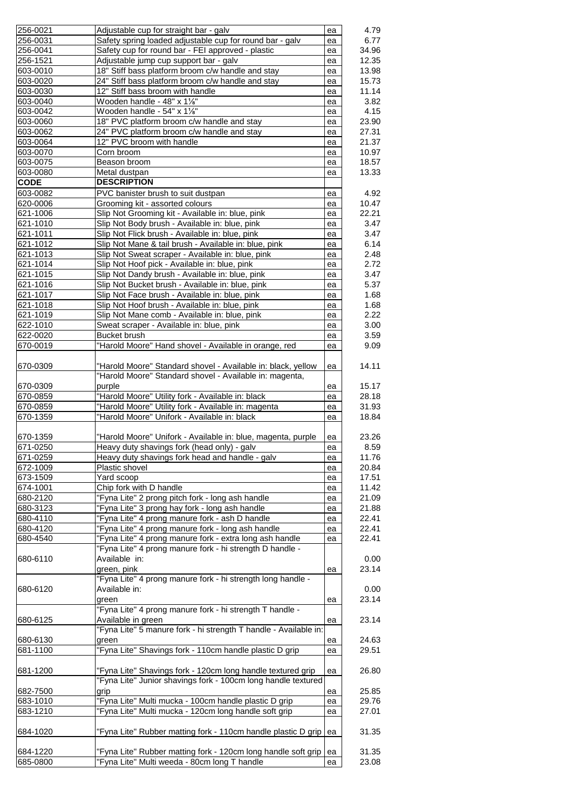| 256-0021    | Adjustable cup for straight bar - galv                                                                                       | ea | 4.79  |
|-------------|------------------------------------------------------------------------------------------------------------------------------|----|-------|
| 256-0031    | Safety spring loaded adjustable cup for round bar - galv                                                                     | ea | 6.77  |
| 256-0041    | Safety cup for round bar - FEI approved - plastic                                                                            | ea | 34.96 |
| 256-1521    | Adjustable jump cup support bar - galv                                                                                       | ea | 12.35 |
| 603-0010    | 18" Stiff bass platform broom c/w handle and stay                                                                            | ea | 13.98 |
| 603-0020    | 24" Stiff bass platform broom c/w handle and stay                                                                            | ea | 15.73 |
| 603-0030    | 12" Stiff bass broom with handle                                                                                             | ea | 11.14 |
| 603-0040    | Wooden handle - 48" x 1%"                                                                                                    | ea | 3.82  |
| 603-0042    | Wooden handle - 54" x 11/s"                                                                                                  | ea | 4.15  |
| 603-0060    | 18" PVC platform broom c/w handle and stay                                                                                   | ea | 23.90 |
| 603-0062    | 24" PVC platform broom c/w handle and stay                                                                                   | ea | 27.31 |
|             |                                                                                                                              |    |       |
| 603-0064    | 12" PVC broom with handle                                                                                                    | ea | 21.37 |
| 603-0070    | Corn broom                                                                                                                   | ea | 10.97 |
| 603-0075    | Beason broom                                                                                                                 | ea | 18.57 |
| 603-0080    | Metal dustpan                                                                                                                | ea | 13.33 |
| <b>CODE</b> | <b>DESCRIPTION</b>                                                                                                           |    |       |
| 603-0082    | PVC banister brush to suit dustpan                                                                                           | ea | 4.92  |
| 620-0006    | Grooming kit - assorted colours                                                                                              | ea | 10.47 |
| 621-1006    | Slip Not Grooming kit - Available in: blue, pink                                                                             | ea | 22.21 |
| 621-1010    | Slip Not Body brush - Available in: blue, pink                                                                               | ea | 3.47  |
| 621-1011    | Slip Not Flick brush - Available in: blue, pink                                                                              | ea | 3.47  |
| 621-1012    | Slip Not Mane & tail brush - Available in: blue, pink                                                                        | ea | 6.14  |
| 621-1013    | Slip Not Sweat scraper - Available in: blue, pink                                                                            | ea | 2.48  |
| 621-1014    | Slip Not Hoof pick - Available in: blue, pink                                                                                | ea | 2.72  |
|             | Slip Not Dandy brush - Available in: blue, pink                                                                              |    |       |
| 621-1015    |                                                                                                                              | ea | 3.47  |
| 621-1016    | Slip Not Bucket brush - Available in: blue, pink                                                                             | ea | 5.37  |
| 621-1017    | Slip Not Face brush - Available in: blue, pink                                                                               | ea | 1.68  |
| 621-1018    | Slip Not Hoof brush - Available in: blue, pink                                                                               | ea | 1.68  |
| 621-1019    | Slip Not Mane comb - Available in: blue, pink                                                                                | ea | 2.22  |
| 622-1010    | Sweat scraper - Available in: blue, pink                                                                                     | ea | 3.00  |
| 622-0020    | <b>Bucket brush</b>                                                                                                          | ea | 3.59  |
| 670-0019    | "Harold Moore" Hand shovel - Available in orange, red                                                                        | ea | 9.09  |
|             |                                                                                                                              |    |       |
| 670-0309    | "Harold Moore" Standard shovel - Available in: black, yellow                                                                 | ea | 14.11 |
|             | "Harold Moore" Standard shovel - Available in: magenta,                                                                      |    |       |
| 670-0309    | purple                                                                                                                       | ea | 15.17 |
| 670-0859    | "Harold Moore" Utility fork - Available in: black                                                                            | ea | 28.18 |
| 670-0859    | "Harold Moore" Utility fork - Available in: magenta                                                                          | ea | 31.93 |
|             |                                                                                                                              |    |       |
| 670-1359    | "Harold Moore" Unifork - Available in: black                                                                                 | ea | 18.84 |
|             |                                                                                                                              |    |       |
| 670-1359    | "Harold Moore" Unifork - Available in: blue, magenta, purple                                                                 | ea | 23.26 |
| 671-0250    | Heavy duty shavings fork (head only) - galv                                                                                  | ea | 8.59  |
| 671-0259    | Heavy duty shavings fork head and handle - galv                                                                              | ea | 11.76 |
| 672-1009    | Plastic shovel                                                                                                               | ea | 20.84 |
| 673-1509    | Yard scoop                                                                                                                   | ea | 17.51 |
| 674-1001    | Chip fork with D handle                                                                                                      | ea | 11.42 |
| 680-2120    | "Fyna Lite" 2 prong pitch fork - long ash handle                                                                             | ea | 21.09 |
| 680-3123    | "Fyna Lite" 3 prong hay fork - long ash handle                                                                               | ea | 21.88 |
| 680-4110    | "Fyna Lite" 4 prong manure fork - ash D handle                                                                               | ea | 22.41 |
| 680-4120    | "Fyna Lite" 4 prong manure fork - long ash handle                                                                            | ea | 22.41 |
| 680-4540    | "Fyna Lite" 4 prong manure fork - extra long ash handle                                                                      |    | 22.41 |
|             | "Fyna Lite" 4 prong manure fork - hi strength D handle -                                                                     | ea |       |
|             |                                                                                                                              |    |       |
| 680-6110    | Available in:                                                                                                                |    | 0.00  |
|             | green, pink                                                                                                                  | ea | 23.14 |
|             | "Fyna Lite" 4 prong manure fork - hi strength long handle -                                                                  |    |       |
| 680-6120    | Available in:                                                                                                                |    | 0.00  |
|             | green                                                                                                                        | ea | 23.14 |
|             | "Fyna Lite" 4 prong manure fork - hi strength T handle -                                                                     |    |       |
| 680-6125    | Available in green                                                                                                           | ea | 23.14 |
|             | "Fyna Lite" 5 manure fork - hi strength T handle - Available in:                                                             |    |       |
| 680-6130    | green                                                                                                                        | ea | 24.63 |
| 681-1100    | "Fyna Lite" Shavings fork - 110cm handle plastic D grip                                                                      | ea | 29.51 |
|             |                                                                                                                              |    |       |
| 681-1200    |                                                                                                                              |    | 26.80 |
|             | "Fyna Lite" Shavings fork - 120cm long handle textured grip<br>"Fyna Lite" Junior shavings fork - 100cm long handle textured | ea |       |
|             |                                                                                                                              |    |       |
| 682-7500    | grip                                                                                                                         | ea | 25.85 |
| 683-1010    | "Fyna Lite" Multi mucka - 100cm handle plastic D grip                                                                        | ea | 29.76 |
| 683-1210    | "Fyna Lite" Multi mucka - 120cm long handle soft grip                                                                        | ea | 27.01 |
|             |                                                                                                                              |    |       |
| 684-1020    | "Fyna Lite" Rubber matting fork - 110cm handle plastic D grip ea                                                             |    | 31.35 |
|             |                                                                                                                              |    |       |
| 684-1220    | "Fyna Lite" Rubber matting fork - 120cm long handle soft grip                                                                | ea | 31.35 |
| 685-0800    | "Fyna Lite" Multi weeda - 80cm long T handle                                                                                 | ea | 23.08 |
|             |                                                                                                                              |    |       |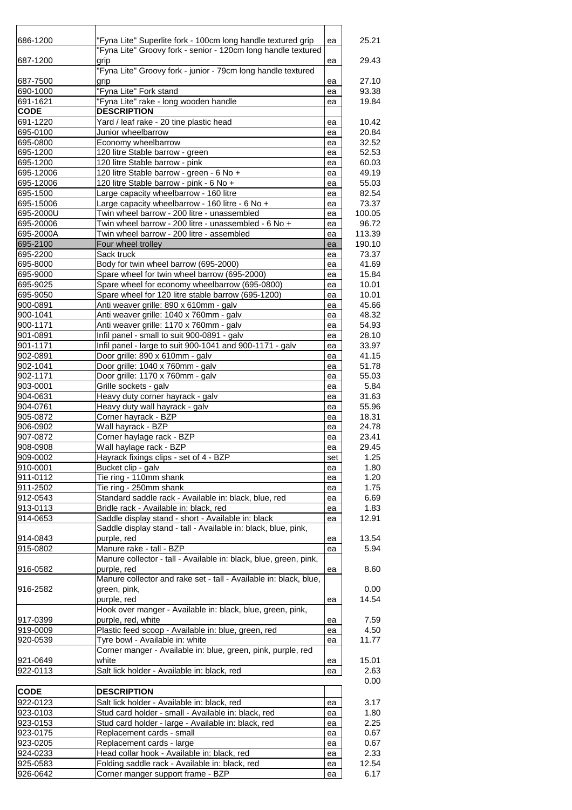| 686-1200             | "Fyna Lite" Superlite fork - 100cm long handle textured grip                    | ea       | 25.21          |
|----------------------|---------------------------------------------------------------------------------|----------|----------------|
|                      | "Fyna Lite" Groovy fork - senior - 120cm long handle textured                   |          |                |
| 687-1200             | grip                                                                            | ea       | 29.43          |
|                      | "Fyna Lite" Groovy fork - junior - 79cm long handle textured                    |          |                |
| 687-7500             | grip                                                                            | ea       | 27.10          |
| 690-1000             | "Fyna Lite" Fork stand                                                          | ea       | 93.38          |
| 691-1621             | "Fyna Lite" rake - long wooden handle                                           | ea       | 19.84          |
| <b>CODE</b>          | <b>DESCRIPTION</b>                                                              |          |                |
| 691-1220<br>695-0100 | Yard / leaf rake - 20 tine plastic head<br>Junior wheelbarrow                   | ea<br>ea | 10.42<br>20.84 |
| 695-0800             | Economy wheelbarrow                                                             | ea       | 32.52          |
| 695-1200             | 120 litre Stable barrow - green                                                 | ea       | 52.53          |
| 695-1200             | 120 litre Stable barrow - pink                                                  | ea       | 60.03          |
| 695-12006            | 120 litre Stable barrow - green - 6 No +                                        | ea       | 49.19          |
| 695-12006            | 120 litre Stable barrow - pink - 6 No +                                         | ea       | 55.03          |
| 695-1500             | Large capacity wheelbarrow - 160 litre                                          | ea       | 82.54          |
| 695-15006            | Large capacity wheelbarrow - 160 litre - 6 No +                                 | ea       | 73.37          |
| 695-2000U            | Twin wheel barrow - 200 litre - unassembled                                     | ea       | 100.05         |
| 695-20006            | Twin wheel barrow - 200 litre - unassembled - 6 No +                            | ea       | 96.72          |
| 695-2000A            | Twin wheel barrow - 200 litre - assembled                                       | ea       | 113.39         |
| 695-2100             | Four wheel trolley                                                              | ea       | 190.10         |
| 695-2200<br>695-8000 | Sack truck<br>Body for twin wheel barrow (695-2000)                             | ea<br>ea | 73.37<br>41.69 |
| 695-9000             | Spare wheel for twin wheel barrow (695-2000)                                    | ea       | 15.84          |
| 695-9025             | Spare wheel for economy wheelbarrow (695-0800)                                  | ea       | 10.01          |
| 695-9050             | Spare wheel for 120 litre stable barrow (695-1200)                              | ea       | 10.01          |
| 900-0891             | Anti weaver grille: 890 x 610mm - galv                                          | ea       | 45.66          |
| 900-1041             | Anti weaver grille: 1040 x 760mm - galv                                         | ea       | 48.32          |
| 900-1171             | Anti weaver grille: 1170 x 760mm - galv                                         | ea       | 54.93          |
| 901-0891             | Infil panel - small to suit 900-0891 - galv                                     | ea       | 28.10          |
| 901-1171             | Infil panel - large to suit 900-1041 and 900-1171 - galv                        | ea       | 33.97          |
| 902-0891             | Door grille: 890 x 610mm - galv                                                 | ea       | 41.15          |
| 902-1041<br>902-1171 | Door grille: 1040 x 760mm - galv<br>Door grille: 1170 x 760mm - galv            | ea       | 51.78<br>55.03 |
| 903-0001             | Grille sockets - galv                                                           | ea<br>ea | 5.84           |
| 904-0631             | Heavy duty corner hayrack - galv                                                | ea       | 31.63          |
| 904-0761             | Heavy duty wall hayrack - galv                                                  | ea       | 55.96          |
| 905-0872             | Corner hayrack - BZP                                                            | ea       | 18.31          |
| 906-0902             | Wall hayrack - BZP                                                              | ea       | 24.78          |
| 907-0872             | Corner haylage rack - BZP                                                       | ea       | 23.41          |
| 908-0908             | Wall haylage rack - BZP                                                         | ea       | 29.45          |
| 909-0002             | Hayrack fixings clips - set of 4 - BZP                                          | set      | 1.25           |
| 910-0001             | Bucket clip - galv                                                              | ea       | 1.80           |
| 911-0112             | Tie ring - 110mm shank                                                          | ea       | 1.20           |
| 911-2502<br>912-0543 | Tie ring - 250mm shank<br>Standard saddle rack - Available in: black, blue, red | ea<br>ea | 1.75<br>6.69   |
| 913-0113             | Bridle rack - Available in: black, red                                          | ea       | 1.83           |
| 914-0653             | Saddle display stand - short - Available in: black                              | ea       | 12.91          |
|                      | Saddle display stand - tall - Available in: black, blue, pink,                  |          |                |
| 914-0843             | purple, red                                                                     | ea       | 13.54          |
| 915-0802             | Manure rake - tall - BZP                                                        | ea       | 5.94           |
|                      | Manure collector - tall - Available in: black, blue, green, pink,               |          |                |
| 916-0582             | purple, red                                                                     | ea       | 8.60           |
|                      | Manure collector and rake set - tall - Available in: black, blue,               |          |                |
| 916-2582             | green, pink,                                                                    |          | 0.00           |
|                      | purple, red                                                                     | ea       | 14.54          |
|                      | Hook over manger - Available in: black, blue, green, pink,                      |          |                |
| 917-0399<br>919-0009 | purple, red, white<br>Plastic feed scoop - Available in: blue, green, red       | ea       | 7.59<br>4.50   |
| 920-0539             | Tyre bowl - Available in: white                                                 | ea<br>ea | 11.77          |
|                      | Corner manger - Available in: blue, green, pink, purple, red                    |          |                |
| 921-0649             | white                                                                           | ea       | 15.01          |
| 922-0113             | Salt lick holder - Available in: black, red                                     | ea       | 2.63           |
|                      |                                                                                 |          | 0.00           |
| <b>CODE</b>          | <b>DESCRIPTION</b>                                                              |          |                |
| 922-0123             | Salt lick holder - Available in: black, red                                     | ea       | 3.17           |
| 923-0103             | Stud card holder - small - Available in: black, red                             | ea       | 1.80           |
| 923-0153             | Stud card holder - large - Available in: black, red                             | ea       | 2.25           |
| 923-0175             | Replacement cards - small                                                       | ea       | 0.67           |
| 923-0205             | Replacement cards - large                                                       | ea       | 0.67           |
| 924-0233             | Head collar hook - Available in: black, red                                     | ea       | 2.33           |
| 925-0583             | Folding saddle rack - Available in: black, red                                  | ea       | 12.54          |
| 926-0642             | Corner manger support frame - BZP                                               | ea       | 6.17           |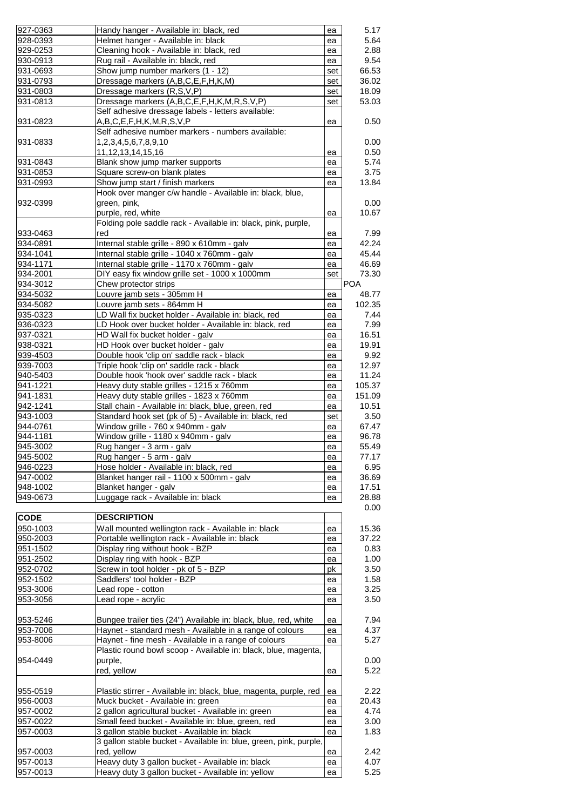| 927-0363             | Handy hanger - Available in: black, red                                                               | ea       | 5.17         |
|----------------------|-------------------------------------------------------------------------------------------------------|----------|--------------|
| 928-0393             | Helmet hanger - Available in: black                                                                   | ea       | 5.64         |
| 929-0253             | Cleaning hook - Available in: black, red                                                              | ea       | 2.88         |
|                      |                                                                                                       |          |              |
| 930-0913             | Rug rail - Available in: black, red                                                                   | ea       | 9.54         |
| 931-0693             | Show jump number markers (1 - 12)                                                                     | set      | 66.53        |
| 931-0793             | Dressage markers (A,B,C,E,F,H,K,M)                                                                    | set      | 36.02        |
|                      |                                                                                                       |          |              |
| 931-0803             | Dressage markers (R,S,V,P)                                                                            | set      | 18.09        |
| 931-0813             | Dressage markers (A,B,C,E,F,H,K,M,R,S,V,P)                                                            | set      | 53.03        |
|                      | Self adhesive dressage labels - letters available:                                                    |          |              |
| 931-0823             | A,B,C,E,F,H,K,M,R,S,V,P                                                                               | ea       | 0.50         |
|                      |                                                                                                       |          |              |
|                      | Self adhesive number markers - numbers available:                                                     |          |              |
| 931-0833             | 1,2,3,4,5,6,7,8,9,10                                                                                  |          | 0.00         |
|                      | 11, 12, 13, 14, 15, 16                                                                                | ea       | 0.50         |
|                      |                                                                                                       |          |              |
| 931-0843             | Blank show jump marker supports                                                                       | ea       | 5.74         |
| 931-0853             | Square screw-on blank plates                                                                          | ea       | 3.75         |
| 931-0993             | Show jump start / finish markers                                                                      | ea       | 13.84        |
|                      | Hook over manger c/w handle - Available in: black, blue,                                              |          |              |
|                      |                                                                                                       |          |              |
| 932-0399             | green, pink,                                                                                          |          | 0.00         |
|                      | purple, red, white                                                                                    | ea       | 10.67        |
|                      | Folding pole saddle rack - Available in: black, pink, purple,                                         |          |              |
|                      |                                                                                                       |          |              |
| 933-0463             | red                                                                                                   | ea       | 7.99         |
| 934-0891             | Internal stable grille - 890 x 610mm - galv                                                           | ea       | 42.24        |
| 934-1041             | Internal stable grille - 1040 x 760mm - galv                                                          | ea       | 45.44        |
| 934-1171             | Internal stable grille - 1170 x 760mm - galv                                                          |          | 46.69        |
|                      |                                                                                                       | ea       |              |
| 934-2001             | DIY easy fix window grille set - 1000 x 1000mm                                                        | set      | 73.30        |
| 934-3012             | Chew protector strips                                                                                 |          | <b>POA</b>   |
| 934-5032             | Louvre jamb sets - 305mm H                                                                            | ea       | 48.77        |
|                      |                                                                                                       |          |              |
| 934-5082             | Louvre jamb sets - 864mm H                                                                            | ea       | 102.35       |
| 935-0323             | LD Wall fix bucket holder - Available in: black, red                                                  | ea       | 7.44         |
| 936-0323             | LD Hook over bucket holder - Available in: black, red                                                 | ea       | 7.99         |
|                      |                                                                                                       |          |              |
| 937-0321             | HD Wall fix bucket holder - galv                                                                      | ea       | 16.51        |
| 938-0321             | HD Hook over bucket holder - galv                                                                     | ea       | 19.91        |
| 939-4503             | Double hook 'clip on' saddle rack - black                                                             | ea       | 9.92         |
| 939-7003             | Triple hook 'clip on' saddle rack - black                                                             |          | 12.97        |
|                      |                                                                                                       | ea       |              |
| 940-5403             | Double hook 'hook over' saddle rack - black                                                           | ea       | 11.24        |
| 941-1221             | Heavy duty stable grilles - 1215 x 760mm                                                              | ea       | 105.37       |
| 941-1831             | Heavy duty stable grilles - 1823 x 760mm                                                              | ea       | 151.09       |
|                      |                                                                                                       |          |              |
| 942-1241             | Stall chain - Available in: black, blue, green, red                                                   | ea       | 10.51        |
| 943-1003             | Standard hook set (pk of 5) - Available in: black, red                                                | set      | 3.50         |
| 944-0761             | Window grille - 760 x 940mm - galv                                                                    | ea       | 67.47        |
|                      | Window grille - 1180 x 940mm - galv                                                                   |          |              |
| 944-1181             |                                                                                                       | ea       | 96.78        |
| 945-3002             | Rug hanger - 3 arm - galv                                                                             | ea       | 55.49        |
| 945-5002             | Rug hanger - 5 arm - galv                                                                             | ea       | 77.17        |
| 946-0223             | Hose holder - Available in: black, red                                                                | ea       | 6.95         |
|                      |                                                                                                       |          |              |
| 947-0002             | Blanket hanger rail - 1100 x 500mm - galv                                                             | ea       | 36.69        |
| 948-1002             | Blanket hanger - galv                                                                                 | ea       | 17.51        |
| 949-0673             | Luggage rack - Available in: black                                                                    | ea       | 28.88        |
|                      |                                                                                                       |          | 0.00         |
|                      |                                                                                                       |          |              |
| <b>CODE</b>          | <b>DESCRIPTION</b>                                                                                    |          |              |
| 950-1003             | Wall mounted wellington rack - Available in: black                                                    | ea       | 15.36        |
| 950-2003             | Portable wellington rack - Available in: black                                                        | ea       | 37.22        |
|                      |                                                                                                       |          |              |
| 951-1502             | Display ring without hook - BZP                                                                       | ea       | 0.83         |
| 951-2502             | Display ring with hook - BZP                                                                          | ea       | 1.00         |
| 952-0702             | Screw in tool holder - pk of 5 - BZP                                                                  | pk       | 3.50         |
| 952-1502             | Saddlers' tool holder - BZP                                                                           | ea       | 1.58         |
|                      |                                                                                                       |          |              |
| 953-3006             | Lead rope - cotton                                                                                    | ea       | 3.25         |
| 953-3056             | Lead rope - acrylic                                                                                   | ea       | 3.50         |
|                      |                                                                                                       |          |              |
| 953-5246             | Bungee trailer ties (24") Available in: black, blue, red, white                                       | ea       | 7.94         |
|                      |                                                                                                       |          |              |
| 953-7006             | Haynet - standard mesh - Available in a range of colours                                              | ea       | 4.37         |
| 953-8006             | Haynet - fine mesh - Available in a range of colours                                                  | ea       | 5.27         |
|                      | Plastic round bowl scoop - Available in: black, blue, magenta,                                        |          |              |
|                      |                                                                                                       |          |              |
| 954-0449             | purple,                                                                                               |          | 0.00         |
|                      | red, yellow                                                                                           | ea       | 5.22         |
|                      |                                                                                                       |          |              |
| 955-0519             | Plastic stirrer - Available in: black, blue, magenta, purple, red                                     | ea       | 2.22         |
|                      |                                                                                                       |          |              |
| 956-0003             | Muck bucket - Available in: green                                                                     | ea       | 20.43        |
| 957-0002             | 2 gallon agricultural bucket - Available in: green                                                    | ea       | 4.74         |
| 957-0022             | Small feed bucket - Available in: blue, green, red                                                    | ea       | 3.00         |
|                      |                                                                                                       |          |              |
| 957-0003             | 3 gallon stable bucket - Available in: black                                                          | ea       | 1.83         |
|                      |                                                                                                       |          |              |
|                      | 3 gallon stable bucket - Available in: blue, green, pink, purple,                                     |          |              |
| 957-0003             |                                                                                                       | ea       | 2.42         |
|                      | red, yellow                                                                                           |          |              |
| 957-0013<br>957-0013 | Heavy duty 3 gallon bucket - Available in: black<br>Heavy duty 3 gallon bucket - Available in: yellow | ea<br>ea | 4.07<br>5.25 |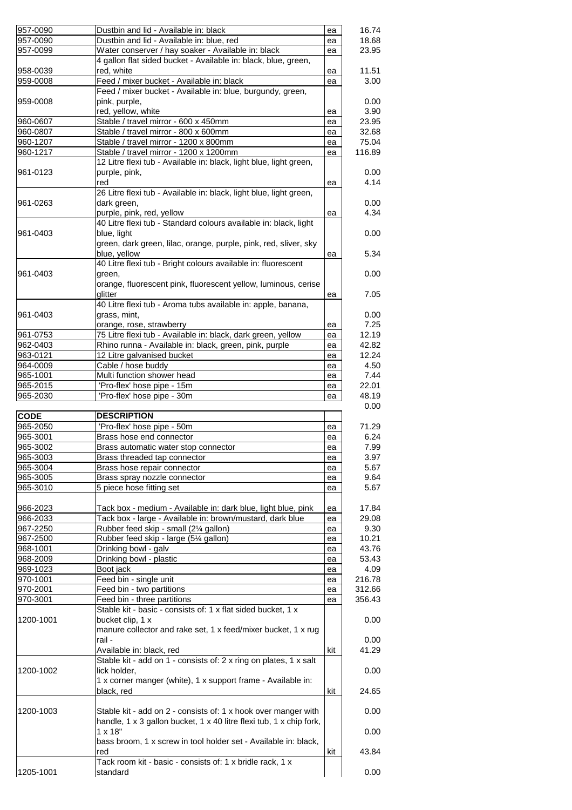| 957-0090    | Dustbin and lid - Available in: black                                 | ea  | 16.74         |
|-------------|-----------------------------------------------------------------------|-----|---------------|
| 957-0090    | Dustbin and lid - Available in: blue, red                             | ea  | 18.68         |
| 957-0099    | Water conserver / hay soaker - Available in: black                    | ea  | 23.95         |
|             | 4 gallon flat sided bucket - Available in: black, blue, green,        |     |               |
| 958-0039    | red, white                                                            | ea  | 11.51         |
| 959-0008    | Feed / mixer bucket - Available in: black                             | ea  | 3.00          |
|             | Feed / mixer bucket - Available in: blue, burgundy, green,            |     |               |
| 959-0008    | pink, purple,                                                         |     | 0.00          |
|             | red, yellow, white                                                    | ea  | 3.90          |
| 960-0607    | Stable / travel mirror - 600 x 450mm                                  | ea  | 23.95         |
| 960-0807    | Stable / travel mirror - 800 x 600mm                                  |     | 32.68         |
| 960-1207    | Stable / travel mirror - 1200 x 800mm                                 | ea  | 75.04         |
|             |                                                                       | ea  | 116.89        |
| 960-1217    | Stable / travel mirror - 1200 x 1200mm                                | ea  |               |
|             | 12 Litre flexi tub - Available in: black, light blue, light green,    |     |               |
| 961-0123    | purple, pink,                                                         |     | 0.00          |
|             | red                                                                   | ea  | 4.14          |
|             | 26 Litre flexi tub - Available in: black, light blue, light green,    |     |               |
| 961-0263    | dark green,                                                           |     | 0.00          |
|             | purple, pink, red, yellow                                             | ea  | 4.34          |
|             | 40 Litre flexi tub - Standard colours available in: black, light      |     |               |
| 961-0403    | blue, light                                                           |     | 0.00          |
|             | green, dark green, lilac, orange, purple, pink, red, sliver, sky      |     |               |
|             | blue, yellow                                                          | ea  | 5.34          |
|             | 40 Litre flexi tub - Bright colours available in: fluorescent         |     |               |
| 961-0403    | green,                                                                |     | 0.00          |
|             | orange, fluorescent pink, fluorescent yellow, luminous, cerise        |     |               |
|             | glitter                                                               | ea  | 7.05          |
|             | 40 Litre flexi tub - Aroma tubs available in: apple, banana,          |     |               |
| 961-0403    | grass, mint,                                                          |     | 0.00          |
|             | orange, rose, strawberry                                              |     | 7.25          |
|             | 75 Litre flexi tub - Available in: black, dark green, yellow          | ea  | 12.19         |
| 961-0753    |                                                                       | ea  |               |
| 962-0403    | Rhino runna - Available in: black, green, pink, purple                | ea  | 42.82         |
| 963-0121    | 12 Litre galvanised bucket                                            | ea  | 12.24         |
| 964-0009    | Cable / hose buddy                                                    | ea  | 4.50          |
| 965-1001    | Multi function shower head                                            | ea  | 7.44          |
| 965-2015    | 'Pro-flex' hose pipe - 15m                                            | ea  | 22.01         |
| 965-2030    | 'Pro-flex' hose pipe - 30m                                            | ea  | 48.19         |
|             |                                                                       |     | 0.00          |
| <b>CODE</b> | <b>DESCRIPTION</b>                                                    |     |               |
| 965-2050    | 'Pro-flex' hose pipe - 50m                                            | ea  | 71.29         |
| 965-3001    | Brass hose end connector                                              | ea  | 6.24          |
| 965-3002    | Brass automatic water stop connector                                  | ea  | 7.99          |
| 965-3003    | Brass threaded tap connector                                          | ea  | 3.97          |
| 965-3004    | Brass hose repair connector                                           | ea  | 5.67          |
| 965-3005    | Brass spray nozzle connector                                          | ea  | 9.64          |
| 965-3010    | 5 piece hose fitting set                                              | ea  | 5.67          |
|             |                                                                       |     |               |
| 966-2023    | Tack box - medium - Available in: dark blue, light blue, pink         | ea  | 17.84         |
| 966-2033    | Tack box - large - Available in: brown/mustard, dark blue             | ea  | 29.08         |
| 967-2250    | Rubber feed skip - small (21/4 gallon)                                |     | 9.30          |
|             |                                                                       | ea  |               |
| 967-2500    | Rubber feed skip - large (51⁄4 gallon)                                | ea  | 10.21         |
| 968-1001    | Drinking bowl - galv                                                  | ea  | 43.76         |
| 968-2009    | Drinking bowl - plastic                                               | ea  | 53.43         |
| 969-1023    | Boot jack                                                             | ea  | 4.09          |
| 970-1001    | Feed bin - single unit                                                | ea  | 216.78        |
| 970-2001    | Feed bin - two partitions                                             | ea  | 312.66        |
| 970-3001    | Feed bin - three partitions                                           | ea  | 356.43        |
|             | Stable kit - basic - consists of: 1 x flat sided bucket, 1 x          |     |               |
| 1200-1001   | bucket clip, 1 x                                                      |     | 0.00          |
|             | manure collector and rake set, 1 x feed/mixer bucket, 1 x rug         |     |               |
|             | rail -                                                                |     | 0.00          |
|             | Available in: black, red                                              | kit | 41.29         |
|             | Stable kit - add on 1 - consists of: 2 x ring on plates, 1 x salt     |     |               |
|             |                                                                       |     |               |
| 1200-1002   | lick holder,                                                          |     | 0.00          |
|             | 1 x corner manger (white), 1 x support frame - Available in:          |     |               |
|             | black, red                                                            | kit | 24.65         |
|             |                                                                       |     |               |
| 1200-1003   | Stable kit - add on 2 - consists of: 1 x hook over manger with        |     | 0.00          |
|             | handle, 1 x 3 gallon bucket, 1 x 40 litre flexi tub, 1 x chip fork,   |     |               |
|             | $1 \times 18"$                                                        |     | 0.00          |
|             |                                                                       |     |               |
|             | bass broom, 1 x screw in tool holder set - Available in: black,       |     |               |
|             | red                                                                   | kit |               |
|             |                                                                       |     |               |
| 1205-1001   | Tack room kit - basic - consists of: 1 x bridle rack, 1 x<br>standard |     | 43.84<br>0.00 |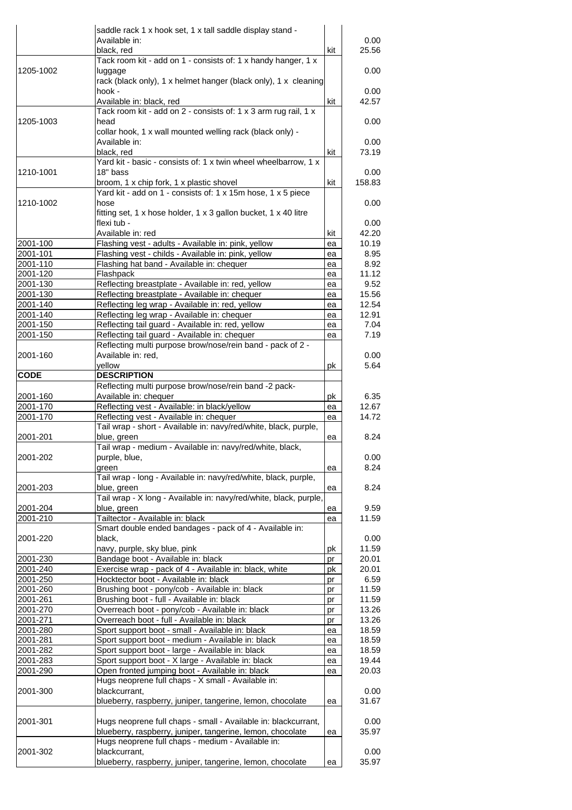|                      | saddle rack 1 x hook set, 1 x tall saddle display stand -                                    |          |                        |
|----------------------|----------------------------------------------------------------------------------------------|----------|------------------------|
|                      | Available in:                                                                                |          | 0.00                   |
|                      | black, red                                                                                   | kit      | 25.56                  |
|                      | Tack room kit - add on 1 - consists of: 1 x handy hanger, 1 x                                |          |                        |
| 1205-1002            | luggage                                                                                      |          | 0.00                   |
|                      | rack (black only), 1 x helmet hanger (black only), 1 x cleaning                              |          |                        |
|                      | hook -                                                                                       |          | 0.00                   |
|                      | Available in: black, red                                                                     | kit      | 42.57                  |
|                      | Tack room kit - add on 2 - consists of: 1 x 3 arm rug rail, 1 x                              |          |                        |
| 1205-1003            | head                                                                                         |          | 0.00                   |
|                      | collar hook, 1 x wall mounted welling rack (black only) -                                    |          |                        |
|                      | Available in:<br>black, red                                                                  | kit      | 0.00<br>73.19          |
|                      | Yard kit - basic - consists of: 1 x twin wheel wheelbarrow, 1 x                              |          |                        |
| 1210-1001            | 18" bass                                                                                     |          | 0.00                   |
|                      | broom, 1 x chip fork, 1 x plastic shovel                                                     | kit      | 158.83                 |
|                      | Yard kit - add on 1 - consists of: 1 x 15m hose, 1 x 5 piece                                 |          |                        |
| 1210-1002            | hose                                                                                         |          | 0.00                   |
|                      | fitting set, 1 x hose holder, 1 x 3 gallon bucket, 1 x 40 litre                              |          |                        |
|                      | flexi tub -                                                                                  |          | 0.00                   |
|                      | Available in: red                                                                            | kit      | 42.20                  |
| 2001-100             | Flashing vest - adults - Available in: pink, yellow                                          | ea       | 10.19                  |
| 2001-101             | Flashing vest - childs - Available in: pink, yellow                                          | ea       | 8.95                   |
| 2001-110             | Flashing hat band - Available in: chequer                                                    | ea       | 8.92                   |
| 2001-120             | Flashpack                                                                                    | ea       | 11.12                  |
| 2001-130             | Reflecting breastplate - Available in: red, yellow                                           | ea       | 9.52                   |
| 2001-130             | Reflecting breastplate - Available in: chequer                                               | ea       | 15.56                  |
| 2001-140             | Reflecting leg wrap - Available in: red, yellow                                              | ea       | 12.54                  |
| 2001-140             | Reflecting leg wrap - Available in: chequer                                                  | ea       | 12.91                  |
| 2001-150             | Reflecting tail guard - Available in: red, yellow                                            | ea       | 7.04                   |
| 2001-150             | Reflecting tail guard - Available in: chequer                                                | ea       | 7.19                   |
|                      | Reflecting multi purpose brow/nose/rein band - pack of 2 -                                   |          |                        |
| 2001-160             | Available in: red,<br>vellow                                                                 | pk       | 0.00<br>5.64           |
| <b>CODE</b>          | <b>DESCRIPTION</b>                                                                           |          |                        |
|                      | Reflecting multi purpose brow/nose/rein band -2 pack-                                        |          |                        |
| 2001-160             | Available in: chequer                                                                        | pk       | 6.35                   |
| 2001-170             | Reflecting vest - Available: in black/yellow                                                 | ea       | 12.67                  |
| 2001-170             | Reflecting vest - Available in: chequer                                                      | ea       | 14.72                  |
|                      | Tail wrap - short - Available in: navy/red/white, black, purple,                             |          |                        |
| 2001-201             | blue, green                                                                                  | ea       | 8.24                   |
|                      | Tail wrap - medium - Available in: navy/red/white, black,                                    |          |                        |
| 2001-202             | purple, blue,                                                                                |          | 0.00                   |
|                      | green                                                                                        | ea       | 8.24                   |
|                      | Tail wrap - long - Available in: navy/red/white, black, purple,                              |          |                        |
| 2001-203             | blue, areen                                                                                  | ea       | 8.24                   |
|                      | Tail wrap - X long - Available in: navy/red/white, black, purple,                            |          |                        |
| 2001-204             | blue, green                                                                                  | ea       | 9.59                   |
| 2001-210             | Tailtector - Available in: black                                                             | ea       | 11.59                  |
|                      | Smart double ended bandages - pack of 4 - Available in:                                      |          |                        |
| 2001-220             | black,                                                                                       |          | 0.00                   |
|                      | navy, purple, sky blue, pink                                                                 | рk       | 11.59                  |
| 2001-230<br>2001-240 | Bandage boot - Available in: black<br>Exercise wrap - pack of 4 - Available in: black, white | pr       | 20.01<br>20.01         |
| 2001-250             | Hocktector boot - Available in: black                                                        | pk       | 6.59                   |
| 2001-260             | Brushing boot - pony/cob - Available in: black                                               | pr<br>pr | 11.59                  |
| 2001-261             | Brushing boot - full - Available in: black                                                   | pr       | 11.59                  |
| 2001-270             | Overreach boot - pony/cob - Available in: black                                              | pr       | 13.26                  |
| 2001-271             | Overreach boot - full - Available in: black                                                  | pr       | 13.26                  |
| 2001-280             | Sport support boot - small - Available in: black                                             | ea       | 18.59                  |
| 2001-281             | Sport support boot - medium - Available in: black                                            | ea       | 18.59                  |
| 2001-282             | Sport support boot - large - Available in: black                                             | ea       | 18.59                  |
| 2001-283             | Sport support boot - X large - Available in: black                                           | ea       | 19.44                  |
| 2001-290             | Open fronted jumping boot - Available in: black                                              | ea       | 20.03                  |
|                      | Hugs neoprene full chaps - X small - Available in:                                           |          |                        |
| 2001-300             | blackcurrant,                                                                                |          | 0.00                   |
|                      | blueberry, raspberry, juniper, tangerine, lemon, chocolate                                   | ea       | 31.67                  |
|                      |                                                                                              |          |                        |
| 2001-301             |                                                                                              |          |                        |
|                      | Hugs neoprene full chaps - small - Available in: blackcurrant,                               |          | 0.00                   |
|                      | blueberry, raspberry, juniper, tangerine, lemon, chocolate                                   | ea       |                        |
|                      | Hugs neoprene full chaps - medium - Available in:                                            |          |                        |
| 2001-302             | blackcurrant,<br>blueberry, raspberry, juniper, tangerine, lemon, chocolate                  | ea       | 35.97<br>0.00<br>35.97 |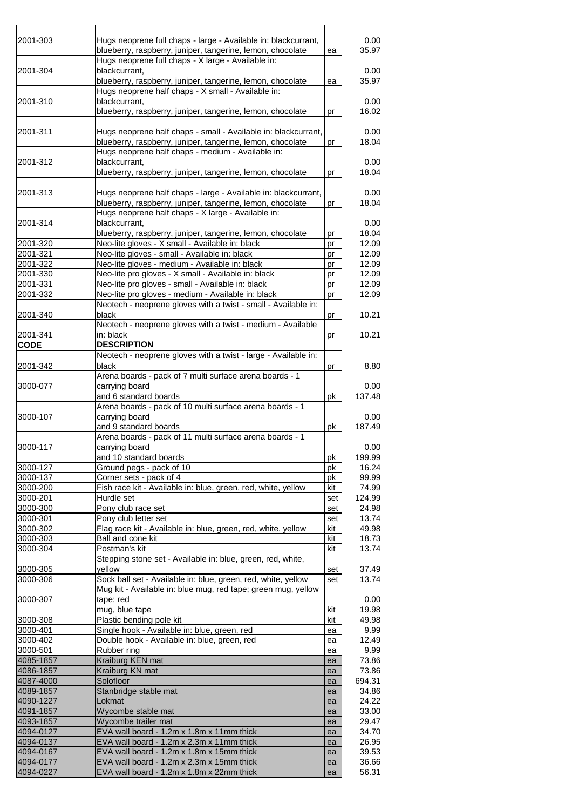| 2001-303               | Hugs neoprene full chaps - large - Available in: blackcurrant,                                                   |          | 0.00           |
|------------------------|------------------------------------------------------------------------------------------------------------------|----------|----------------|
|                        | blueberry, raspberry, juniper, tangerine, lemon, chocolate<br>Hugs neoprene full chaps - X large - Available in: | ea       | 35.97          |
| 2001-304               | blackcurrant,                                                                                                    |          | 0.00           |
|                        | blueberry, raspberry, juniper, tangerine, lemon, chocolate<br>Hugs neoprene half chaps - X small - Available in: | ea       | 35.97          |
| 2001-310               | blackcurrant,                                                                                                    |          | 0.00           |
|                        | blueberry, raspberry, juniper, tangerine, lemon, chocolate                                                       | pr       | 16.02          |
| 2001-311               | Hugs neoprene half chaps - small - Available in: blackcurrant,                                                   |          | 0.00           |
|                        | blueberry, raspberry, juniper, tangerine, lemon, chocolate                                                       | pr       | 18.04          |
| 2001-312               | Hugs neoprene half chaps - medium - Available in:<br>blackcurrant,                                               |          | 0.00           |
|                        | blueberry, raspberry, juniper, tangerine, lemon, chocolate                                                       | pr       | 18.04          |
| 2001-313               | Hugs neoprene half chaps - large - Available in: blackcurrant,                                                   |          | 0.00           |
|                        | blueberry, raspberry, juniper, tangerine, lemon, chocolate                                                       | pr       | 18.04          |
| 2001-314               | Hugs neoprene half chaps - X large - Available in:<br>blackcurrant,                                              |          | 0.00           |
|                        | blueberry, raspberry, juniper, tangerine, lemon, chocolate                                                       | pr       | 18.04          |
| 2001-320               | Neo-lite gloves - X small - Available in: black                                                                  | pr       | 12.09          |
| 2001-321               | Neo-lite gloves - small - Available in: black                                                                    | pr       | 12.09          |
| 2001-322               | Neo-lite gloves - medium - Available in: black                                                                   | pr       | 12.09          |
| 2001-330               | Neo-lite pro gloves - X small - Available in: black                                                              | pr       | 12.09          |
| 2001-331               | Neo-lite pro gloves - small - Available in: black                                                                | pr       | 12.09          |
| 2001-332               | Neo-lite pro gloves - medium - Available in: black                                                               | pr       | 12.09          |
|                        | Neotech - neoprene gloves with a twist - small - Available in:                                                   |          |                |
| 2001-340               | black                                                                                                            | pr       | 10.21          |
|                        | Neotech - neoprene gloves with a twist - medium - Available                                                      |          |                |
| 2001-341               | in: black                                                                                                        | pr       | 10.21          |
| <b>CODE</b>            | <b>DESCRIPTION</b>                                                                                               |          |                |
| 2001-342               | Neotech - neoprene gloves with a twist - large - Available in:<br>black                                          | pr       | 8.80           |
|                        | Arena boards - pack of 7 multi surface arena boards - 1                                                          |          |                |
| 3000-077               | carrying board                                                                                                   |          | 0.00           |
|                        | and 6 standard boards                                                                                            | рk       | 137.48         |
|                        | Arena boards - pack of 10 multi surface arena boards - 1                                                         |          |                |
| 3000-107               | carrying board<br>and 9 standard boards                                                                          | рk       | 0.00<br>187.49 |
|                        | Arena boards - pack of 11 multi surface arena boards - 1                                                         |          |                |
| 3000-117               | carrying board                                                                                                   |          | 0.00           |
|                        | and 10 standard boards                                                                                           | рk       | 199.99         |
| 3000-127               | Ground pegs - pack of 10                                                                                         | pk       | 16.24          |
| 3000-137               | Corner sets - pack of 4                                                                                          | pk       | 99.99          |
| 3000-200               | Fish race kit - Available in: blue, green, red, white, yellow                                                    | kit      | 74.99          |
| 3000-201               | Hurdle set                                                                                                       | set      | 124.99         |
| 3000-300               | Pony club race set                                                                                               | set      | 24.98          |
| 3000-301               | Pony club letter set                                                                                             | set      | 13.74          |
| 3000-302               | Flag race kit - Available in: blue, green, red, white, yellow                                                    | kit      | 49.98          |
| 3000-303               | Ball and cone kit                                                                                                | kit      | 18.73          |
| 3000-304               | Postman's kit                                                                                                    | kit      | 13.74          |
|                        | Stepping stone set - Available in: blue, green, red, white,                                                      |          |                |
| 3000-305               | vellow                                                                                                           | set      | 37.49          |
| 3000-306               | Sock ball set - Available in: blue, green, red, white, yellow                                                    | set      | 13.74          |
|                        | Mug kit - Available in: blue mug, red tape; green mug, yellow                                                    |          |                |
| 3000-307               | tape; red                                                                                                        |          | 0.00           |
|                        | mug, blue tape                                                                                                   | kit      | 19.98          |
| 3000-308               | Plastic bending pole kit                                                                                         | kit      | 49.98          |
| 3000-401               | Single hook - Available in: blue, green, red                                                                     | ea       | 9.99           |
| 3000-402               | Double hook - Available in: blue, green, red                                                                     | ea       | 12.49          |
| 3000-501               | Rubber ring                                                                                                      | ea       | 9.99           |
| 4085-1857              | Kraiburg KEN mat                                                                                                 | ea       | 73.86          |
| 4086-1857              | Kraiburg KN mat                                                                                                  | ea       | 73.86          |
| 4087-4000              | Solofloor                                                                                                        | ea       | 694.31         |
| 4089-1857              | Stanbridge stable mat                                                                                            | ea       | 34.86          |
| 4090-1227              | Lokmat                                                                                                           | ea       | 24.22          |
| 4091-1857              | Wycombe stable mat                                                                                               | ea       | 33.00          |
| 4093-1857              | Wycombe trailer mat                                                                                              | ea       | 29.47          |
| 4094-0127<br>4094-0137 | EVA wall board - 1.2m x 1.8m x 11mm thick<br>EVA wall board - 1.2m x 2.3m x 11mm thick                           | ea       | 34.70<br>26.95 |
| 4094-0167              | EVA wall board - 1.2m x 1.8m x 15mm thick                                                                        | ea<br>ea | 39.53          |
| 4094-0177              | EVA wall board - 1.2m x 2.3m x 15mm thick                                                                        | ea       | 36.66          |
| 4094-0227              | EVA wall board - 1.2m x 1.8m x 22mm thick                                                                        | ea       | 56.31          |
|                        |                                                                                                                  |          |                |